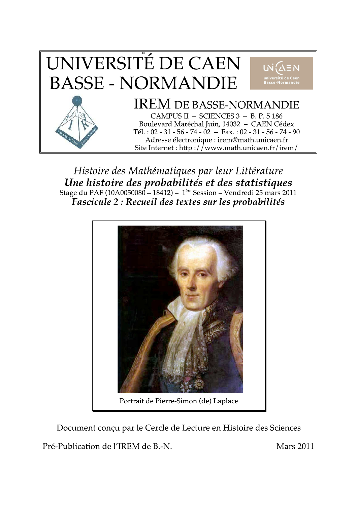

Histoire des Mathématiques par leur Littérature Une histoire des probabilités et des statistiques Stage du PAF (10A0050080 - 18412) - 1<sup>ère</sup> Session - Vendredi 25 mars 2011 Fascicule 2 : Recueil des textes sur les probabilités



Document conçu par le Cercle de Lecture en Histoire des Sciences Pré-Publication de l'IREM de B.-N. **Mars 2011**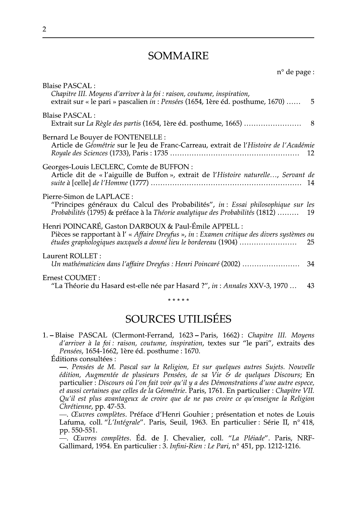# **SOMMAIRE**

| * * * * *                                                                                                                                                                                                             |      |  |  |  |
|-----------------------------------------------------------------------------------------------------------------------------------------------------------------------------------------------------------------------|------|--|--|--|
| Ernest COUMET:<br>"La Théorie du Hasard est-elle née par Hasard ?", in : Annales XXV-3, 1970                                                                                                                          | 43   |  |  |  |
| Laurent ROLLET:<br>Un mathématicien dans l'affaire Dreyfus : Henri Poincaré (2002)                                                                                                                                    | 34   |  |  |  |
| Henri POINCARÉ, Gaston DARBOUX & Paul-Émile APPELL :<br>Pièces se rapportant à l' « Affaire Dreyfus », in : Examen critique des divers systèmes ou<br>études graphologiques auxquels a donné lieu le bordereau (1904) | 25   |  |  |  |
| Pierre-Simon de LAPLACE:<br>"Principes généraux du Calcul des Probabilités", in : Essai philosophique sur les<br>Probabilités (1795) & préface à la Théorie analytique des Probabilités (1812)                        | 19   |  |  |  |
| Georges-Louis LECLERC, Comte de BUFFON :<br>Article dit de « l'aiguille de Buffon », extrait de l'Histoire naturelle, Servant de                                                                                      |      |  |  |  |
| Bernard Le Bouyer de FONTENELLE :<br>Article de Géométrie sur le Jeu de Franc-Carreau, extrait de l'Histoire de l'Académie                                                                                            | 12   |  |  |  |
| <b>Blaise PASCAL:</b>                                                                                                                                                                                                 |      |  |  |  |
| <b>Blaise PASCAL:</b><br>Chapitre III. Moyens d'arriver à la foi : raison, coutume, inspiration,<br>extrait sur « le pari » pascalien in : Pensées (1654, 1ère éd. posthume, 1670)                                    | $-5$ |  |  |  |

# **SOURCES UTILISÉES**

1. - Blaise PASCAL (Clermont-Ferrand, 1623 - Paris, 1662): Chapitre III. Moyens d'arriver à la foi : raison, coutume, inspiration, textes sur "le pari", extraits des Pensées, 1654-1662, 1ère éd. posthume : 1670.

Éditions consultées :

- Pensées de M. Pascal sur la Religion, Et sur quelques autres Sujets. Nouvelle édition, Augmentée de plusieurs Pensées, de sa Vie & de quelques Discours; En particulier : Discours où l'on fait voir qu'il y a des Démonstrations d'une autre espece, et aussi certaines que celles de la Géométrie. Paris, 1761. En particulier : Chapitre VII. Qu'il est plus avantageux de croire que de ne pas croire ce qu'enseigne la Religion Chrétienne, pp. 47-53.

- CEuvres complètes. Préface d'Henri Gouhier ; présentation et notes de Louis Lafuma, coll. "L'Intégrale". Paris, Seuil, 1963. En particulier : Série II, nº 418, pp. 550-551.

-. Œuvres complètes. Éd. de J. Chevalier, coll. "La Pléiade". Paris, NRF-Gallimard, 1954. En particulier : 3. Infini-Rien : Le Pari, n° 451, pp. 1212-1216.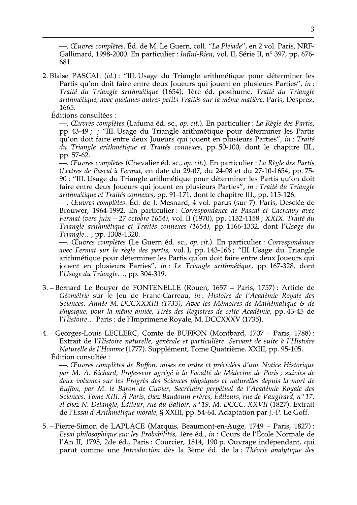—. Œuvres complètes. Éd. de M. Le Guern, coll. "La Pléiade", en 2 vol. Paris, NRF-Gallimard, 1998-2000. En particulier : Infini-Rien, vol. II, Série II, n° 397, pp. 676-681.

2. Blaise PASCAL (id.): "III. Usage du Triangle arithmétique pour déterminer les Partis qu'on doit faire entre deux Joueurs qui jouent en plusieurs Parties", in : Traité du Triangle arithmétique (1654), 1ère éd. posthume, Traité du Triangle arithmétique, avec quelques autres petits Traités sur la même matière, Paris, Desprez, 1665.

Éditions consultées :

-. Œuvres complètes (Lafuma éd. sc., op. cit.). En particulier : La Règle des Partis, pp. 43-49 ; ; "III. Usage du Triangle arithmétique pour déterminer les Partis qu'on doit faire entre deux Joueurs qui jouent en plusieurs Parties", in : Traité du Triangle arithmétique et Traités connexes, pp. 50-100, dont le chapitre III., pp. 57-62.

-. Œuvres complètes (Chevalier éd. sc., op. cit.). En particulier : La Règle des Partis (Lettres de Pascal à Fermat, en date du 29-07, du 24-08 et du 27-10-1654, pp. 75-90 ; "III. Usage du Triangle arithmétique pour déterminer les Partis qu'on doit faire entre deux Joueurs qui jouent en plusieurs Parties", in: Traité du Triangle arithmétique et Traités connexes, pp. 91-171, dont le chapitre III., pp. 115-126.

-. Œuvres complètes. Éd. de J. Mesnard, 4 vol. parus (sur 7). Paris, Desclée de Brouwer, 1964-1992. En particulier : Correspondance de Pascal et Cacreavy avec Fermat (vers juin – 27 octobre 1654), vol. II (1970), pp. 1132-1158; XXIX. Traité du Triangle arithmétique et Traités connexes (1654), pp. 1166-1332, dont l'Usage du Triangle..., pp. 1308-1320.

-. Œuvres complètes (Le Guern éd. sc., op. cit.). En particulier : Correspondance avec Fermat sur la règle des partis, vol. I, pp. 143-166 ; "III. Usage du Triangle arithmétique pour déterminer les Partis qu'on doit faire entre deux Joueurs qui jouent en plusieurs Parties", in : Le Triangle arithmétique, pp. 167-328, dont l'Usage du Triangle..., pp. 304-319.

- 3. Bernard Le Bouyer de FONTENELLE (Rouen, 1657 Paris, 1757): Article de Géométrie sur le Jeu de Franc-Carreau, in : Histoire de l'Académie Royale des Sciences. Année M. DCCXXXIII (1733), Avec les Mémoires de Mathématique & de Physique, pour la même année, Tirés des Registres de cette Académie, pp. 43-45 de l'Histoire... Paris : de l'Imprimerie Royale, M. DCCXXXV (1735).
- 4. Georges-Louis LECLERC, Comte de BUFFON (Montbard, 1707 Paris, 1788): Extrait de l'Histoire naturelle, générale et particulière. Servant de suite à l'Histoire Naturelle de l'Homme (1777). Supplément, Tome Quatrième. XXIII, pp. 95-105. Édition consultée :

— Cuvres complètes de Buffon, mises en ordre et précédées d'une Notice Historique par M. A. Richard, Professeur agrégé à la Faculté de Médecine de Paris; suivies de deux volumes sur les Progrès des Sciences physiques et naturelles depuis la mort de Buffon, par M. le Baron de Cuvier, Secrétaire perpétuel de l'Académie Royale des Sciences. Tome XIII. À Paris, chez Baudouin Frères, Éditeurs, rue de Vaugirard, n° 17, et chez N. Delangle, Éditeur, rue du Battoir, n° 19. M. DCCC. XXVII (1827). Extrait de l'Essai d'Arithmétique morale, § XXIII, pp. 54-64. Adaptation par J.-P. Le Goff.

5. – Pierre-Simon de LAPLACE (Marquis, Beaumont-en-Auge, 1749 – Paris, 1827): Essai philosophique sur les Probabilités, 1ère éd., in : Cours de l'École Normale de l'An II, 1795, 2de éd., Paris : Courcier, 1814, 190 p. Ouvrage indépendant, qui parut comme une Introduction dès la 3ème éd. de la : Théorie analytique des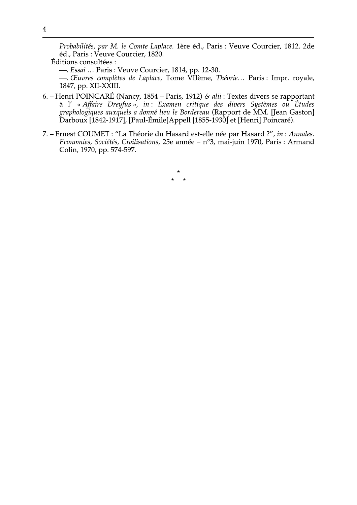Probabilités, par M. le Comte Laplace. 1ère éd., Paris : Veuve Courcier, 1812. 2de éd., Paris : Veuve Courcier, 1820.

- Éditions consultées :
	- Essai ... Paris : Veuve Courcier, 1814, pp. 12-30.
	- CEuvres complètes de Laplace, Tome VIIème, Théorie... Paris : Impr. royale, 1847, pp. XII-XXIII.
- 6. Henri POINCARÉ (Nancy, 1854 Paris, 1912) & alii : Textes divers se rapportant à l' « Affaire Dreyfus », in : Examen critique des divers Systèmes ou Études graphologiques auxquels a donné lieu le Bordereau (Rapport de MM. [Jean Gaston] Darboux [1842-1917], [Paul-Émile]Appell [1855-1930] et [Henri] Poincaré).
- 7. Ernest COUMET : "La Théorie du Hasard est-elle née par Hasard ?", in : Annales. Economies, Sociétés, Civilisations, 25e année – n°3, mai-juin 1970, Paris : Armand Colin, 1970, pp. 574-597.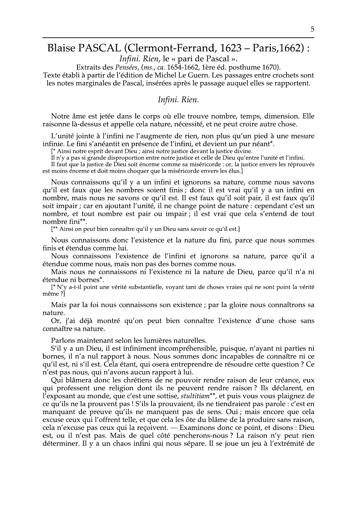# **Blaise PASC**

<sup>5</sup><br>
Blaise PASCAL (Clermont-Ferrand, 1623 – Paris,1662) :<br> *Infini. Rien, le «* pari de Pascal ».<br>
Extraits des *Pensées*, (ms., ca. 1654-1662, 1ère éd. posthume 1670).<br>
Texte établi à partir de l'édition de Michel Le Gue

Il faut que la justice de Dieu soit énorme comme sa miséricorde : or, la justice envers les réprouvés est moins énorme et doit moins choquer que la miséricorde envers les élus.]

**Blaise PASCAL (Clermont-Ferrand, 1623 – Paris, 1662)**:<br> *Infini. Rien*, le « pari de Pascal ».<br>
Extraits des Pensées, (ms. a. 1654-1662, lère éd. posthume 1670).<br>
Texte établi à partir de l'édition de Michel Le Guern. Le Exter dabit partire de l'édition de Michel Le Guern. Les passages entre crochets sont<br>les notes marginales de Pascal, insérées après le passage auquel elles se rapportent.<br>les notes marginales de Pascal, insérées après le Nous connaissons qu'il y a un infini et ignorons sa nature, comme nous savons L'unité jointe à l'infini ne l'augmente de rien, non plus qu'un pied à une mesure<br>
infinie. Le fini s'anéantit en présence de l'infini, et devient un pur néant<sup>8</sup>.<br>
Il "sy a pas igrande disproportion entre non-passic et c Brumse en comme en comme sinone en comme sinone en comme a marcar a marcar (comme a marcar a marcar a marcar a marcar a marcar a marcar a marcar a marcar and the mome pair of the marcar and soit map in the soit map in the

Parlons maintenant selon les lumières naturelles.

Nous connaissons donc l'existence et la nature du fini, parce que nous sommes<br>
finis et étendus comme lui.<br>
Nous connaissons l'existence de l'infini et ignorons sa nature, parce qu'il a<br>
étendue comme nous, mais non pas de S'il y a un Dieu, il est infiniment incompréhensible, puisque, n'ayant ni parties ni

eferante mornes?..<br>
"I'N'y at-il point une vérité substantielle, voyant tant de choses vraies qui ne sont point la vérité<br>
même?]<br>
Mais par la foi nous connaissons son existence ; par la gloire nous connaîtrons sa<br>
cor, j' Parlons maintenant selon les lumières naturelles.<br>
S'il y a un Dieu, il est infiniment incompréhensible, puisque, n'ayant ni parties ni<br>
bornes, il n'a nul rapport à nous. Nous sommes donc incapables de connaître ni ce<br>
q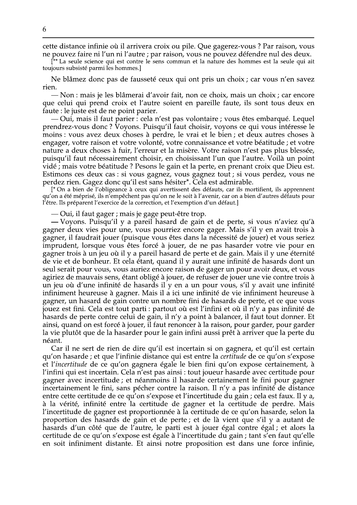cette distance infinie où il arrivera croix ou pile. Que gagerez-vous ? Par raison, vous ne pouvez faire ni l'un ni l'autre ; par raison, vous ne pouvez défendre nul des deux.

<sup>\*\*</sup> La seule science qui est contre le sens commun et la nature des hommes est la seule qui ait toujours subsisté parmi les hommes.]

Ne blâmez donc pas de fausseté ceux qui ont pris un choix ; car vous n'en savez rien.

— Non : mais je les blâmerai d'avoir fait, non ce choix, mais un choix ; car encore que celui qui prend croix et l'autre soient en pareille faute, ils sont tous deux en faute : le juste est de ne point parier.

— Qui, mais il faut parier : cela n'est pas volontaire ; vous êtes embarqué. Lequel prendrez-vous donc ? Voyons. Puisqu'il faut choisir, voyons ce qui vous intéresse le moins : vous avez deux choses à perdre, le vrai et le bien ; et deux autres choses à engager, votre raison et votre volonté, votre connaissance et votre béatitude ; et votre nature a deux choses à fuir, l'erreur et la misère. Votre raison n'est pas plus blessée, puisqu'il faut nécessairement choisir, en choisissant l'un que l'autre. Voilà un point vidé ; mais votre béatitude ? Pesons le gain et la perte, en prenant croix que Dieu est. Estimons ces deux cas : si vous gagnez, vous gagnez tout ; si vous perdez, vous ne perdez rien. Gagez donc qu'il est sans hésiter\*. Cela est admirable.

[\* On a bien de l'obligeance à ceux qui avertissent des défauts, car ils mortifient, ils apprennent qu'on a été méprisé, ils n'empêchent pas qu'on ne le soit à l'avenir, car on a bien d'autres défauts pour l'être. Ils préparent l'exercice de la correction, et l'exemption d'un défaut.]

— Oui, il faut gager ; mais je gage peut-être trop.

— Voyons. Puisqu'il y a pareil hasard de gain et de perte, si vous n'aviez qu'à gagner deux vies pour une, vous pourriez encore gager. Mais s'il y en avait trois à gagner, il faudrait jouer (puisque vous êtes dans la nécessité de jouer) et vous seriez imprudent, lorsque vous êtes forcé à jouer, de ne pas hasarder votre vie pour en gagner trois à un jeu où il y a pareil hasard de perte et de gain. Mais il y une éternité de vie et de bonheur. Et cela étant, quand il y aurait une infinité de hasards dont un seul serait pour vous, vous auriez encore raison de gager un pour avoir deux, et vous agiriez de mauvais sens, étant obligé à jouer, de refuser de jouer une vie contre trois à un jeu où d'une infinité de hasards il y en a un pour vous, s'il y avait une infinité infiniment heureuse à gagner. Mais il a ici une infinité de vie infiniment heureuse à gagner, un hasard de gain contre un nombre fini de hasards de perte, et ce que vous jouez est fini. Cela est tout parti : partout où est l'infini et où il n'y a pas infinité de hasards de perte contre celui de gain, il n'y a point à balancer, il faut tout donner. Et ainsi, quand on est forcé à jouer, il faut renoncer à la raison, pour garder, pour garder la vie plutôt que de la hasarder pour le gain infini aussi prêt à arriver que la perte du néant.

Car il ne sert de rien de dire qu'il est incertain si on gagnera, et qu'il est certain qu'on hasarde ; et que l'infinie distance qui est entre la *certitude* de ce qu'on s'expose et l'incertitude de ce qu'on gagnera égale le bien fini qu'on expose certainement, à l'infini qui est incertain. Cela n'est pas ainsi : tout joueur hasarde avec certitude pour gagner avec incertitude; et néanmoins il hasarde certainement le fini pour gagner incertainement le fini, sans pécher contre la raison. Il n'y a pas infinité de distance entre cette certitude de ce qu'on s'expose et l'incertitude du gain ; cela est faux. Il y a, à la vérité, infinité entre la certitude de gagner et la certitude de perdre. Mais l'incertitude de gagner est proportionnée à la certitude de ce qu'on hasarde, selon la proportion des hasards de gain et de perte ; et de là vient que s'il y a autant de hasards d'un côté que de l'autre, le parti est à jouer égal contre égal ; et alors la certitude de ce qu'on s'expose est égale à l'incertitude du gain ; tant s'en faut qu'elle en soit infiniment distante. Et ainsi notre proposition est dans une force infinie,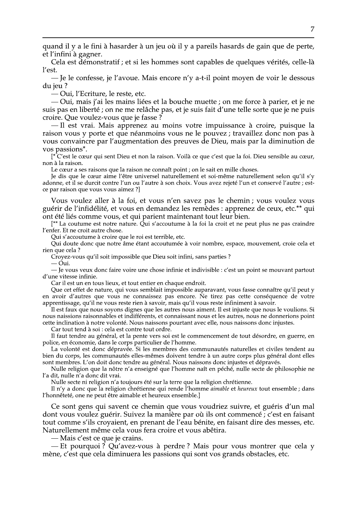quand il y a le fini à hasarder à un jeu où il y a pareils hasards de gain que de perte, et l'infini à gagner.

Cela est démonstratif ; et si les hommes sont capables de quelques vérités, celle-là l'est.

- Je le confesse, je l'avoue. Mais encore n'y a-t-il point moyen de voir le dessous du jeu ?

— Oui, l'Ecriture, le reste, etc.

— Qui, mais j'ai les mains liées et la bouche muette ; on me force à parier, et je ne suis pas en liberté ; on ne me relâche pas, et je suis fait d'une telle sorte que je ne puis croire. Que voulez-vous que je fasse ?

— Il est vrai. Mais apprenez au moins votre impuissance à croire, puisque la raison vous y porte et que néanmoins vous ne le pouvez ; travaillez donc non pas à vous convaincre par l'augmentation des preuves de Dieu, mais par la diminution de vos passions<sup>\*</sup>.

[\*C'est le cœur qui sent Dieu et non la raison. Voilà ce que c'est que la foi. Dieu sensible au cœur, non à la raison.

Le cœur a ses raisons que la raison ne connaît point ; on le sait en mille choses.

Je dis que le cœur aime l'être universel naturellement et soi-même naturellement selon qu'il s'y adonne, et il se durcit contre l'un ou l'autre à son choix. Vous avez rejeté l'un et conservé l'autre ; estce par raison que vous vous aimez ?

Vous voulez aller à la foi, et vous n'en savez pas le chemin; vous voulez vous guérir de l'infidélité, et vous en demandez les remèdes : apprenez de ceux, etc.\*\* qui ont été liés comme vous, et qui parient maintenant tout leur bien.

[\*\* La coutume est notre nature. Qui s'accoutume à la foi la croit et ne peut plus ne pas craindre l'enfer. Et ne croit autre chose.

Qui s'accoutume à croire que le roi est terrible, etc.

Qui doute donc que notre âme étant accoutumée à voir nombre, espace, mouvement, croie cela et rien que cela?

Croyez-vous qu'il soit impossible que Dieu soit infini, sans parties ?

— Óui.

- Je vous veux donc faire voire une chose infinie et indivisible : c'est un point se mouvant partout d'une vitesse infinie.

Car il est un en tous lieux, et tout entier en chaque endroit.

Que cet effet de nature, qui vous semblait impossible auparavant, vous fasse connaître qu'il peut y en avoir d'autres que vous ne connaissez pas encore. Ne tirez pas cette conséquence de votre apprentissage, qu'il ne vous reste rien à savoir, mais qu'il vous reste infiniment à savoir.

Il est faux que nous soyons dignes que les autres nous aiment. Il est injuste que nous le voulions. Si nous naissions raisonnables et indifférents, et connaissant nous et les autres, nous ne donnerions point cette inclination à notre volonté. Nous naissons pourtant avec elle, nous naissons donc injustes.

Car tout tend à soi : cela est contre tout ordre.

Il faut tendre au général, et la pente vers soi est le commencement de tout désordre, en guerre, en police, en économie, dans le corps particulier de l'homme.

La volonté est donc dépravée. Si les membres des communautés naturelles et civiles tendent au bien du corps, les communautés elles-mêmes doivent tendre à un autre corps plus général dont elles sont membres. L'on doit donc tendre au général. Nous naissons donc injustes et dépravés.

Nulle religion que la nôtre n'a enseigné que l'homme naît en péché, nulle secte de philosophie ne l'a dit, nulle n'a donc dit vrai.

Nulle secte ni religion n'a toujours été sur la terre que la religion chrétienne.

Il n'y a donc que la religion chrétienne qui rende l'homme *aimable* et *heureux* tout ensemble ; dans l'honnêteté, one ne peut être aimable et heureux ensemble.

Ce sont gens qui savent ce chemin que vous voudriez suivre, et guéris d'un mal dont vous voulez guérir. Suivez la manière par où ils ont commencé ; c'est en faisant tout comme s'ils croyaient, en prenant de l'eau bénite, en faisant dire des messes, etc. Naturellement même cela vous fera croire et vous abêtira.

– Mais c'est ce que je crains.

— Et pourquoi? Qu'avez-vous à perdre? Mais pour vous montrer que cela y mène, c'est que cela diminuera les passions qui sont vos grands obstacles, etc.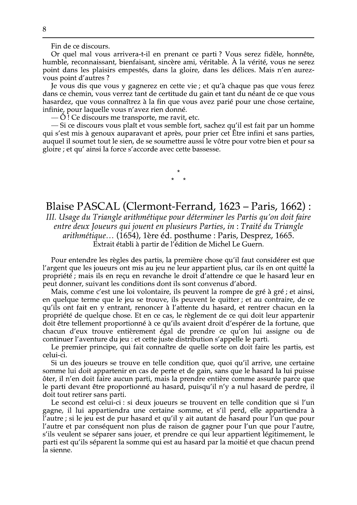Fin de ce discours.

Or quel mal vous arrivera-t-il en prenant ce parti? Vous serez fidèle, honnête, humble, reconnaissant, bienfaisant, sincère ami, véritable. A la vérité, vous ne serez point dans les plaisirs empestés, dans la gloire, dans les délices. Mais n'en aurezvous point d'autres ?

Je vous dis que vous y gagnerez en cette vie ; et qu'à chaque pas que vous ferez dans ce chemin, vous verrez tant de certitude du gain et tant du néant de ce que vous hasardez, que vous connaîtrez à la fin que vous avez parié pour une chose certaine, infinie, pour laquelle vous n'avez rien donné.

— Ô ! Ce discours me transporte, me ravit, etc.

-Si ce discours vous plaît et vous semble fort, sachez qu'il est fait par un homme qui s'est mis à genoux auparavant et après, pour prier cet Être infini et sans parties, auquel il soumet tout le sien, de se soumettre aussi le vôtre pour votre bien et pour sa gloire ; et qu'ainsi la force s'accorde avec cette bassesse.

Blaise PASCAL (Clermont-Ferrand, 1623 – Paris, 1662): III. Usage du Triangle arithmétique pour déterminer les Partis qu'on doit faire entre deux Joueurs qui jouent en plusieurs Parties, in : Traité du Triangle arithmétique... (1654), 1ère éd. posthume : Paris, Desprez, 1665. Extrait établi à partir de l'édition de Michel Le Guern.

Pour entendre les règles des partis, la première chose qu'il faut considérer est que l'argent que les joueurs ont mis au jeu ne leur appartient plus, car ils en ont quitté la propriété ; mais ils en reçu en revanche le droit d'attendre ce que le hasard leur en peut donner, suivant les conditions dont ils sont convenus d'abord.

Mais, comme c'est une loi volontaire, ils peuvent la rompre de gré à gré ; et ainsi, en quelque terme que le jeu se trouve, ils peuvent le quitter ; et au contraire, de ce qu'ils ont fait en y entrant, renoncer à l'attente du hasard, et rentrer chacun en la propriété de quelque chose. Et en ce cas, le règlement de ce qui doit leur appartenir doit être tellement proportionné à ce qu'ils avaient droit d'espérer de la fortune, que chacun d'eux trouve entièrement égal de prendre ce qu'on lui assigne ou de continuer l'aventure du jeu : et cette juste distribution s'appelle le parti.

Le premier principe, qui fait connaître de quelle sorte on doit faire les partis, est celui-ci.

Si un des joueurs se trouve en telle condition que, quoi qu'il arrive, une certaine somme lui doit appartenir en cas de perte et de gain, sans que le hasard la lui puisse ôter, il n'en doit faire aucun parti, mais la prendre entière comme assurée parce que le parti devant être proportionné au hasard, puisqu'il n'y a nul hasard de perdre, il doit tout retirer sans parti.

Le second est celui-ci : si deux joueurs se trouvent en telle condition que si l'un gagne, il lui appartiendra une certaine somme, et s'il perd, elle appartiendra à l'autre ; si le jeu est de pur hasard et qu'il y ait autant de hasard pour l'un que pour l'autre et par conséquent non plus de raison de gagner pour l'un que pour l'autre, s'ils veulent se séparer sans jouer, et prendre ce qui leur appartient légitimement, le parti est qu'ils séparent la somme qui est au hasard par la moitié et que chacun prend la sienne.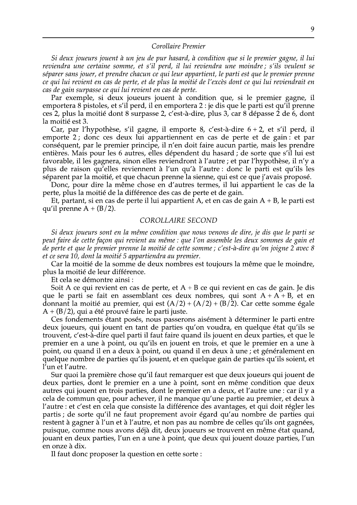### Corollaire Premier

Si deux joueurs jouent à un jeu de pur hasard, à condition que si le premier gagne, il lui reviendra une certaine somme, et s'il perd, il lui reviendra une moindre ; s'ils veulent se séparer sans jouer, et prendre chacun ce qui leur appartient, le parti est que le premier prenne ce qui lui revient en cas de perte, et de plus la moitié de l'excès dont ce qui lui reviendrait en cas de gain surpasse ce qui lui revient en cas de perte.

Par exemple, si deux joueurs jouent à condition que, si le premier gagne, il emportera 8 pistoles, et s'il perd, il en emportera 2 : je dis que le parti est qu'il prenne ces 2, plus la moitié dont 8 surpasse 2, c'est-à-dire, plus 3, car 8 dépasse 2 de 6, dont la moitié est 3.

Car, par l'hypothèse, s'il gagne, il emporte 8, c'est-à-dire  $6 + 2$ , et s'il perd, il emporte 2; donc ces deux lui appartiennent en cas de perte et de gain : et par conséquent, par le premier principe, il n'en doit faire aucun partie, mais les prendre entières. Mais pour les 6 autres, elles dépendent du hasard ; de sorte que s'il lui est favorable, il les gagnera, sinon elles reviendront à l'autre ; et par l'hypothèse, il n'y a plus de raison qu'elles reviennent à l'un qu'à l'autre : donc le parti est qu'ils les séparent par la moitié, et que chacun prenne la sienne, qui est ce que j'avais proposé.

Donc, pour dire la même chose en d'autres termes, il lui appartient le cas de la perte, plus la moitié de la différence des cas de perte et de gain.

Et, partant, si en cas de perte il lui appartient A, et en cas de gain  $A + B$ , le parti est qu'il prenne  $A + (B/2)$ .

### COROLLAIRE SECOND

Si deux joueurs sont en la même condition que nous venons de dire, je dis que le parti se peut faire de cette façon qui revient au même : que l'on assemble les deux sommes de gain et de perte et que le premier prenne la moitié de cette somme ; c'est-à-dire qu'on joigne 2 avec 8 et ce sera 10, dont la moitié 5 appartiendra au premier.

Car la moitié de la somme de deux nombres est toujours la même que le moindre, plus la moitié de leur différence.

Et cela se démontre ainsi :

Soit A ce qui revient en cas de perte, et  $A + B$  ce qui revient en cas de gain. Je dis que le parti se fait en assemblant ces deux nombres, qui sont  $A + A + B$ , et en donnant la moitié au premier, qui est  $(A/2) + (A/2) + (B/2)$ . Car cette somme égale  $A + (B/2)$ , qui a été prouvé faire le parti juste.

Ces fondements étant posés, nous passerons aisément à déterminer le parti entre deux joueurs, qui jouent en tant de parties qu'on voudra, en quelque état qu'ils se trouvent, c'est-à-dire quel parti il faut faire quand ils jouent en deux parties, et que le premier en a une à point, ou qu'ils en jouent en trois, et que le premier en a une à point, ou quand il en a deux à point, ou quand il en deux à une ; et généralement en quelque nombre de parties qu'ils jouent, et en quelque gain de parties qu'ils soient, et l'un et l'autre.

Sur quoi la première chose qu'il faut remarquer est que deux joueurs qui jouent de deux parties, dont le premier en a une à point, sont en même condition que deux autres qui jouent en trois parties, dont le premier en a deux, et l'autre une : car il y a cela de commun que, pour achever, il ne manque qu'une partie au premier, et deux à l'autre : et c'est en cela que consiste la différence des avantages, et qui doit régler les partis; de sorte qu'il ne faut proprement avoir égard qu'au nombre de parties qui restent à gagner à l'un et à l'autre, et non pas au nombre de celles qu'ils ont gagnées, puisque, comme nous avons déjà dit, deux joueurs se trouvent en même état quand, jouant en deux parties, l'un en a une à point, que deux qui jouent douze parties, l'un en onze à dix.

Il faut donc proposer la question en cette sorte :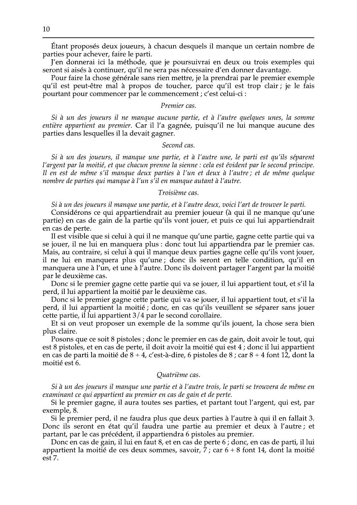Etant proposés deux joueurs, à chacun desquels il manque un certain nombre de parties pour achever, faire le parti.

J'en donnerai ici la méthode, que je poursuivrai en deux ou trois exemples qui seront si aisés à continuer, qu'il ne sera pas nécessaire d'en donner davantage.

Pour faire la chose générale sans rien mettre, je la prendrai par le premier exemple qu'il est peut-être mal à propos de toucher, parce qu'il est trop clair ; je le fais pourtant pour commencer par le commencement ; c'est celui-ci :

### Premier cas.

Si à un des joueurs il ne manque aucune partie, et à l'autre quelques unes, la somme entière appartient au premier. Car il l'a gagnée, puisqu'il ne lui manque aucune des parties dans lesquelles il la devait gagner.

#### Second cas.

Si à un des joueurs, il manque une partie, et à l'autre une, le parti est qu'ils séparent l'argent par la moitié, et que chacun prenne la sienne : cela est évident par le second principe. Il en est de même s'il manque deux parties à l'un et deux à l'autre ; et de même quelque nombre de parties qui manque à l'un s'il en manque autant à l'autre.

### Troisième cas.

Si à un des joueurs il manque une partie, et à l'autre deux, voici l'art de trouver le parti.

Considérons ce qui appartiendrait au premier joueur (à qui il ne manque qu'une partie) en cas de gain de la partie qu'ils vont jouer, et puis ce qui lui appartiendrait en cas de perte.

Il est visible que si celui à qui il ne manque qu'une partie, gagne cette partie qui va se jouer, il ne lui en manquera plus : donc tout lui appartiendra par le premier cas. Mais, au contraire, si celui à qui il manque deux parties gagne celle qu'ils vont jouer, il ne lui en manquera plus qu'une; donc ils seront en telle condition, qu'il en manquera une à l'un, et une à l'autre. Donc ils doivent partager l'argent par la moitié par le deuxième cas.

Donc si le premier gagne cette partie qui va se jouer, il lui appartient tout, et s'il la perd, il lui appartient la moitié par le deuxième cas.

Donc si le premier gagne cette partie qui va se jouer, il lui appartient tout, et s'il la perd, il lui appartient la moitié ; donc, en cas qu'ils veuillent se séparer sans jouer cette partie, il lui appartient 3/4 par le second corollaire.

Et si on veut proposer un exemple de la somme qu'ils jouent, la chose sera bien plus claire.

Posons que ce soit 8 pistoles ; donc le premier en cas de gain, doit avoir le tout, qui est 8 pistoles, et en cas de perte, il doit avoir la moitié qui est 4; donc il lui appartient en cas de parti la moitié de  $8 + 4$ , c'est-à-dire, 6 pistoles de  $8$ ; car  $8 + 4$  font 12, dont la moitié est 6.

#### Quatrième cas.

Si à un des joueurs il manque une partie et à l'autre trois, le parti se trouvera de même en examinant ce qui appartient au premier en cas de gain et de perte.

Si le premier gagne, il aura toutes ses parties, et partant tout l'argent, qui est, par exemple, 8.

Si le premier perd, il ne faudra plus que deux parties à l'autre à qui il en fallait 3. Donc ils seront en état qu'il faudra une partie au premier et deux à l'autre; et partant, par le cas précédent, il appartiendra 6 pistoles au premier.

Donc en cas de gain, il lui en faut 8, et en cas de perte 6; donc, en cas de parti, il lui appartient la moitié de ces deux sommes, savoir,  $7$ ; car  $6 + 8$  font 14, dont la moitié est 7.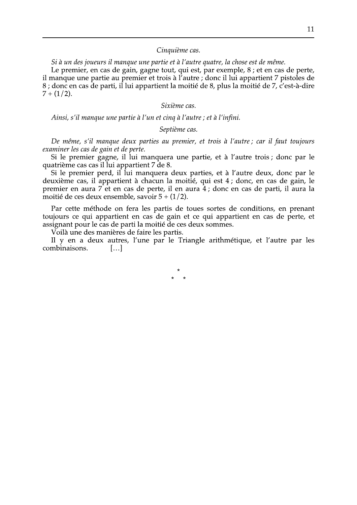### Cinquième cas.

Si à un des joueurs il manque une partie et à l'autre quatre, la chose est de même.

Le premier, en cas de gain, gagne tout, qui est, par exemple, 8 ; et en cas de perte, il manque une partie au premier et trois à l'autre ; donc il lui appartient 7 pistoles de 8 ; donc en cas de parti, il lui appartient la moitié de 8, plus la moitié de 7, c'est-à-dire  $7 + (1/2)$ .

#### Sixième cas.

Ainsi, s'il manque une partie à l'un et cinq à l'autre ; et à l'infini.

### Septième cas.

De même, s'il manque deux parties au premier, et trois à l'autre ; car il faut toujours examiner les cas de gain et de perte.

Si le premier gagne, il lui manquera une partie, et à l'autre trois; donc par le quatrième cas cas il lui appartient 7 de 8.

Si le premier perd, il lui manquera deux parties, et à l'autre deux, donc par le deuxième cas, il appartient à chacun la moitié, qui est 4; donc, en cas de gain, le premier en aura 7 et en cas de perte, il en aura 4; donc en cas de parti, il aura la moitié de ces deux ensemble, savoir  $5 + (1/2)$ .

Par cette méthode on fera les partis de toues sortes de conditions, en prenant toujours ce qui appartient en cas de gain et ce qui appartient en cas de perte, et assignant pour le cas de parti la moitié de ces deux sommes.

Voilà une des manières de faire les partis.

Il y en a deux autres, l'une par le Triangle arithmétique, et l'autre par les combinaisons.  $\left| \ldots \right|$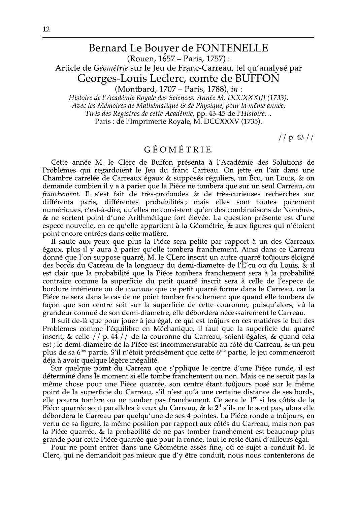## Bernard Le Bouyer de FONTENELLE (Rouen, 1657 – Paris, 1757): Article de Géométrie sur le Jeu de Franc-Carreau, tel qu'analysé par

Georges-Louis Leclerc, comte de BUFFON

(Montbard, 1707 - Paris, 1788), in:

Histoire de l'Académie Royale des Sciences. Année M. DCCXXXIII (1733). Avec les Mémoires de Mathématique & de Physique, pour la même année, Tirés des Registres de cette Académie, pp. 43-45 de l'Histoire... Paris : de l'Imprimerie Royale, M. DCCXXXV (1735).

 $1/p.43/1$ 

## **GÉOMÉTRIE**

Cette année M. le Clerc de Buffon présenta à l'Académie des Solutions de Problemes qui regardoient le Jeu du franc Carreau. On jette en l'air dans une Chambre carrelée de Carreaux égaux & supposés réguliers, un Écu, un Louis, & on demande combien il y a à parier que la Piéce ne tombera que sur un seul Carreau, ou franchement. Il s'est fait de très-profondes & de très-curieuses recherches sur différents paris, différentes probabilités; mais elles sont toutes purement numériques, c'est-à-dire, qu'elles ne consistent qu'en des combinaisons de Nombres, & ne sortent point d'une Arithmétique fort élevée. La question présente est d'une espece nouvelle, en ce qu'elle appartient à la Géométrie, & aux figures qui n'étoient point encore entrées dans cette matière.

Il saute aux yeux que plus la Piéce sera petite par rapport à un des Carreaux égaux, plus il y aura à parier qu'elle tombera franchement. Ainsi dans ce Carreau donné que l'on suppose quarré, M. le CLerc inscrit un autre quarré toûjours éloigné des bords du Carreau de la longueur du demi-diametre de l'E'cu ou du Louis, & il est clair que la probabilité que la Piéce tombera franchement sera à la probabilité contraire comme la superficie du petit quarré inscrit sera à celle de l'espece de bordure intérieure ou de *couronne* que ce petit quarré forme dans le Carreau, car la Piéce ne sera dans le cas de ne point tomber franchement que quand elle tombera de façon que son centre soit sur la superficie de cette couronne, puisqu'alors, vû la grandeur connuë de son demi-diametre, elle débordera nécessairement le Carreau.

Il suit de-là que pour jouer à jeu égal, ce qui est toûjurs en ces matiéres le but des Problemes comme l'équilibre en Méchanique, il faut que la superficie du quarré inscrit, & celle // p. 44 // de la couronne du Carreau, soient égales, & quand cela est ; le demi-diametre de la Piéce est incommensurable au côté du Carreau, & un peu plus de sa 6<sup>me</sup> partie. S'il n'étoit précisément que cette 6<sup>me</sup> partie, le jeu commenceroit déja à avoir quelque légère inégalité.

Sur quelque point du Carreau que s'pplique le centre d'une Piéce ronde, il est déterminé dans le moment si elle tombe franchement ou non. Mais ce ne seroit pas la même chose pour une Piéce quarrée, son centre étant toûjours posé sur le même point de la superficie du Carreau, s'il n'est qu'à une certaine distance de ses bords, elle pourra tombre ou ne tomber pas franchement. Ce sera le 1<sup>er</sup> si les côtés de la Piéce quarrée sont paralleles à ceux du Carreau, & le 2<sup>d</sup> s'ils ne le sont pas, alors elle débordera le Carreau par quelqu'une de ses 4 pointes. La Piéce ronde a toûjours, en vertu de sa figure, la même position par rapport aux côtés du Carreau, mais non pas la Piéce quarrée, & la probabilité de ne pas tomber franchement est beaucoup plus grande pour cette Piéce quarrée que pour la ronde, tout le reste étant d'ailleurs égal.

Pour ne point entrer dans une Géométrie assés fine, où ce sujet a conduit M. le Clerc, qui ne demandoit pas mieux que d'y être conduit, nous nous contenterons de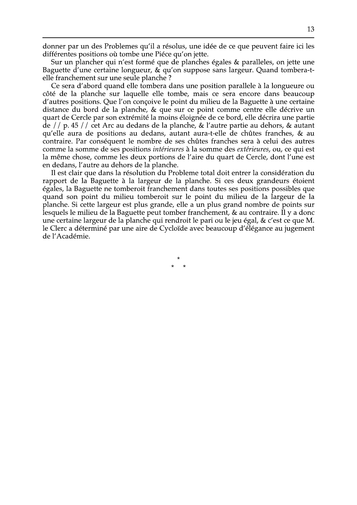donner par un des Problemes qu'il a résolus, une idée de ce que peuvent faire ici les différentes positions où tombe une Piéce qu'on jette.

Sur un plancher qui n'est formé que de planches égales & paralleles, on jette une Baguette d'une certaine longueur, & qu'on suppose sans largeur. Quand tombera-telle franchement sur une seule planche?

Ce sera d'abord quand elle tombera dans une position parallele à la longueure ou côté de la planche sur laquelle elle tombe, mais ce sera encore dans beaucoup d'autres positions. Que l'on conçoive le point du milieu de la Baguette à une certaine distance du bord de la planche, & que sur ce point comme centre elle décrive un quart de Cercle par son extrémité la moins éloignée de ce bord, elle décrira une partie de // p. 45 // cet Arc au dedans de la planche, & l'autre partie au dehors, & autant qu'elle aura de positions au dedans, autant aura-t-elle de chûtes franches, & au contraire. Par conséquent le nombre de ses chûtes franches sera à celui des autres comme la somme de ses positions *intérieures* à la somme des *extérieures*, ou, ce qui est la même chose, comme les deux portions de l'aire du quart de Cercle, dont l'une est en dedans, l'autre au dehors de la planche.

Il est clair que dans la résolution du Probleme total doit entrer la considération du rapport de la Baguette à la largeur de la planche. Si ces deux grandeurs étoient égales, la Baguette ne tomberoit franchement dans toutes ses positions possibles que quand son point du milieu tomberoit sur le point du milieu de la largeur de la planche. Si cette largeur est plus grande, elle a un plus grand nombre de points sur lesquels le milieu de la Baguette peut tomber franchement, & au contraire. Il y a donc une certaine largeur de la planche qui rendroit le pari ou le jeu égal, & c'est ce que M. le Clerc a déterminé par une aire de Cycloïde avec beaucoup d'élégance au jugement de l'Académie.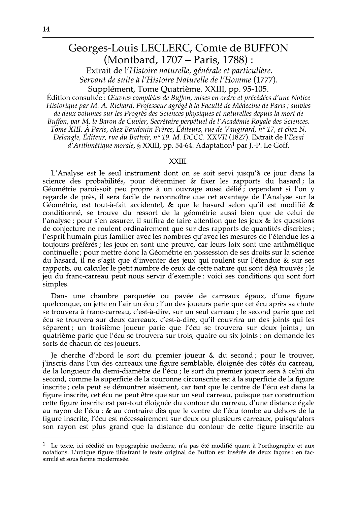# Georges-Louis LECLERC, Comte de BUFFON (Montbard, 1707 - Paris, 1788):

Extrait de l'Histoire naturelle, générale et particulière. Servant de suite à l'Histoire Naturelle de l'Homme (1777). Supplément, Tome Quatrième. XXIII, pp. 95-105.

Édition consultée : Œuvres complètes de Buffon, mises en ordre et précédées d'une Notice Historique par M. A. Richard, Professeur agrégé à la Faculté de Médecine de Paris; suivies de deux volumes sur les Progrès des Sciences physiques et naturelles depuis la mort de Buffon, par M. le Baron de Cuvier, Secrétaire perpétuel de l'Académie Royale des Sciences. Tome XIII. À Paris, chez Baudouin Frères, Éditeurs, rue de Vaugirard, n° 17, et chez N. Delangle, Éditeur, rue du Battoir, n° 19. M. DCCC. XXVII (1827). Extrait de l'Essai d'Arithmétique morale, § XXIII, pp. 54-64. Adaptation<sup>1</sup> par J.-P. Le Goff.

### XXIII.

L'Analyse est le seul instrument dont on se soit servi jusqu'à ce jour dans la science des probabilités, pour déterminer & fixer les rapports du hasard; la Géométrie paroissoit peu propre à un ouvrage aussi délié; cependant si l'on y regarde de près, il sera facile de reconnoître que cet avantage de l'Analyse sur la Géométrie, est tout-à-fait accidentel, & que le hasard selon qu'il est modifié & conditionné, se trouve du ressort de la géométrie aussi bien que de celui de l'analyse ; pour s'en assurer, il suffira de faire attention que les jeux & les questions de conjecture ne roulent ordinairement que sur des rapports de quantités discrètes ; l'esprit humain plus familier avec les nombres qu'avec les mesures de l'étendue les a toujours préférés ; les jeux en sont une preuve, car leurs loix sont une arithmétique continuelle ; pour mettre donc la Géométrie en possession de ses droits sur la science du hasard, il ne s'agit que d'inventer des jeux qui roulent sur l'étendue & sur ses rapports, ou calculer le petit nombre de ceux de cette nature qui sont déjà trouvés ; le jeu du franc-carreau peut nous servir d'exemple : voici ses conditions qui sont fort simples.

Dans une chambre parquetée ou pavée de carreaux égaux, d'une figure quelconque, on jette en l'air un écu ; l'un des joueurs parie que cet écu après sa chute se trouvera à franc-carreau, c'est-à-dire, sur un seul carreau ; le second parie que cet écu se trouvera sur deux carreaux, c'est-à-dire, qu'il couvrira un des joints qui les séparent ; un troisième joueur parie que l'écu se trouvera sur deux joints ; un quatrième parie que l'écu se trouvera sur trois, quatre ou six joints : on demande les sorts de chacun de ces joueurs.

Je cherche d'abord le sort du premier joueur & du second; pour le trouver, j'inscris dans l'un des carreaux une figure semblable, éloignée des côtés du carreau, de la longueur du demi-diamètre de l'écu ; le sort du premier joueur sera à celui du second, comme la superficie de la couronne circonscrite est à la superficie de la figure inscrite ; cela peut se démontrer aisément, car tant que le centre de l'écu est dans la figure inscrite, cet écu ne peut être que sur un seul carreau, puisque par construction cette figure inscrite est par-tout éloignée du contour du carreau, d'une distance égale au rayon de l'écu ; & au contraire dès que le centre de l'écu tombe au dehors de la figure inscrite, l'écu est nécessairement sur deux ou plusieurs carreaux, puisqu'alors son rayon est plus grand que la distance du contour de cette figure inscrite au

<sup>&</sup>lt;sup>1</sup> Le texte, ici réédité en typographie moderne, n'a pas été modifié quant à l'orthographe et aux notations. L'unique figure illustrant le texte original de Buffon est insérée de deux façons : en facsimilé et sous forme modernisée.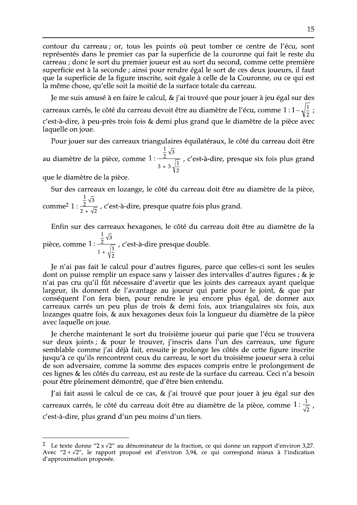contour du carreau ; or, tous les points où peut tomber ce centre de l'écu, sont représentés dans le premier cas par la superficie de la couronne qui fait le reste du carreau ; donc le sort du premier joueur est au sort du second, comme cette première superficie est à la seconde ; ainsi pour rendre égal le sort de ces deux joueurs, il faut que la superficie de la figure inscrite, soit égale à celle de la Couronne, ou ce qui est la même chose, qu'elle soit la moitié de la surface totale du carreau.

Je me suis amusé à en faire le calcul, & j'ai trouvé que pour jouer à jeu égal sur des carreaux carrés, le côté du carreau devoit être au diamètre de l'écu, comme  $1:1-\sqrt{\frac{1}{2}}$ ; c'est-à-dire, à peu-près trois fois & demi plus grand que le diamètre de la pièce avec laquelle on joue.

Pour jouer sur des carreaux triangulaires équilatéraux, le côté du carreau doit être au diamètre de la pièce, comme  $1: \frac{\frac{1}{2}\sqrt{3}}{3+3\sqrt{\frac{1}{2}}}$ , c'est-à-dire, presque six fois plus grand

que le diamètre de la pièce.

Sur des carreaux en lozange, le côté du carreau doit être au diamètre de la pièce, comme<sup>2</sup> 1 :  $\frac{\frac{1}{2}\sqrt{3}}{2+\sqrt{2}}$ , c'est-à-dire, presque quatre fois plus grand.

Enfin sur des carreaux hexagones, le côté du carreau doit être au diamètre de la pièce, comme  $1: \frac{\frac{1}{2}\sqrt{3}}{1+\sqrt{\frac{1}{2}}}$ , c'est-à-dire presque double.

Je n'ai pas fait le calcul pour d'autres figures, parce que celles-ci sont les seules dont on puisse remplir un espace sans y laisser des intervalles d'autres figures ; & je n'ai pas cru qu'il fût nécessaire d'avertir que les joints des carreaux ayant quelque largeur, ils donnent de l'avantage au joueur qui parie pour le joint, & que par conséquent l'on fera bien, pour rendre le jeu encore plus égal, de donner aux carreaux carrés un peu plus de trois & demi fois, aux triangulaires six fois, aux lozanges quatre fois, & aux hexagones deux fois la longueur du diamètre de la pièce avec laquelle on joue.

Je cherche maintenant le sort du troisième joueur qui parie que l'écu se trouvera sur deux joints; & pour le trouver, j'inscris dans l'un des carreaux, une figure semblable comme j'ai déjà fait, ensuite je prolonge les côtés de cette figure inscrite jusqu'à ce qu'ils rencontrent ceux du carreau, le sort du troisième joueur sera à celui de son adversaire, comme la somme des espaces compris entre le prolongement de ces lignes & les côtés du carreau, est au reste de la surface du carreau. Ceci n'a besoin pour être pleinement démontré, que d'être bien entendu.

J'ai fait aussi le calcul de ce cas, & j'ai trouvé que pour jouer à jeu égal sur des carreaux carrés, le côté du carreau doit être au diamètre de la pièce, comme  $1: \frac{1}{\sqrt{2}}$ , c'est-à-dire, plus grand d'un peu moins d'un tiers.

<sup>&</sup>lt;sup>2</sup> Le texte donne "2 x  $\sqrt{2}$ " au dénominateur de la fraction, ce qui donne un rapport d'environ 3,27. Avec "2 +  $\sqrt{2}$ ", le rapport proposé est d'environ 3,94, ce qui correspond mieux à l'indication d'approximation proposée.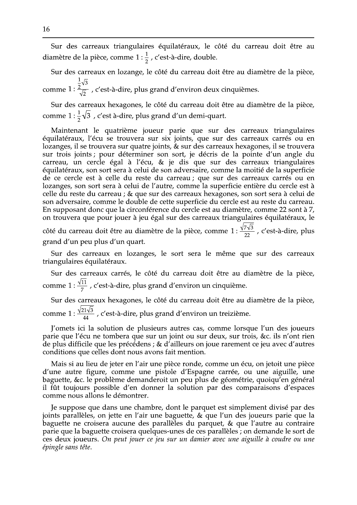Sur des carreaux triangulaires équilatéraux, le côté du carreau doit être au diamètre de la pièce, comme  $1:\frac{1}{2}$ , c'est-à-dire, double.

Sur des carreaux en lozange, le côté du carreau doit être au diamètre de la pièce, comme  $1: \frac{\frac{1}{2}\sqrt{3}}{\sqrt{2}}$ , c'est-à-dire, plus grand d'environ deux cinquièmes.

Sur des carreaux hexagones, le côté du carreau doit être au diamètre de la pièce, comme  $1:\frac{1}{2}\sqrt{3}$ , c'est à-dire, plus grand d'un demi-quart.

Maintenant le quatrième joueur parie que sur des carreaux triangulaires équilatéraux, l'écu se trouvera sur six joints, que sur des carreaux carrés ou en lozanges, il se trouvera sur quatre joints, & sur des carreaux hexagones, il se trouvera sur trois joints ; pour déterminer son sort, je décris de la pointe d'un angle du carreau, un cercle égal à l'écu, & je dis que sur des carreaux triangulaires équilatéraux, son sort sera à celui de son adversaire, comme la moitié de la superficie de ce cercle est à celle du reste du carreau ; que sur des carreaux carrés ou en lozanges, son sort sera à celui de l'autre, comme la superficie entière du cercle est à celle du reste du carreau ; & que sur des carreaux hexagones, son sort sera à celui de son adversaire, comme le double de cette superficie du cercle est au reste du carreau. En supposant donc que la circonférence du cercle est au diamètre, comme 22 sont à 7, on trouvera que pour jouer à jeu égal sur des carreaux triangulaires équilatéraux, le côté du carreau doit être au diamètre de la pièce, comme  $1: \frac{\sqrt{7\sqrt{3}}}{22}$ , c'est-à-dire, plus grand d'un peu plus d'un quart.

Sur des carreaux en lozanges, le sort sera le même que sur des carreaux triangulaires équilatéraux.

Sur des carreaux carrés, le côté du carreau doit être au diamètre de la pièce, comme 1 :  $\frac{\sqrt{11}}{7}$ , c'est-à-dire, plus grand d'environ un cinquième.

Sur des carreaux hexagones, le côté du carreau doit être au diamètre de la pièce, comme 1 :  $\frac{\sqrt{21}\sqrt{3}}{44}$ , c'est-à-dire, plus grand d'environ un treizième.

J'omets ici la solution de plusieurs autres cas, comme lorsque l'un des joueurs parie que l'écu ne tombera que sur un joint ou sur deux, sur trois, &c. ils n'ont rien de plus difficile que les précédens ; & d'ailleurs on joue rarement ce jeu avec d'autres conditions que celles dont nous avons fait mention.

Mais si au lieu de jeter en l'air une pièce ronde, comme un écu, on jetoit une pièce d'une autre figure, comme une pistole d'Espagne carrée, ou une aiguille, une baguette, & c. le problème demanderoit un peu plus de géométrie, quoiqu'en général il fût toujours possible d'en donner la solution par des comparaisons d'espaces comme nous allons le démontrer.

Je suppose que dans une chambre, dont le parquet est simplement divisé par des joints parallèles, on jette en l'air une baguette, & que l'un des joueurs parie que la baguette ne croisera aucune des parallèles du parquet, & que l'autre au contraire parie que la baguette croisera quelques-unes de ces parallèles ; on demande le sort de ces deux joueurs. On peut jouer ce jeu sur un damier avec une aiguille à coudre ou une épingle sans tête.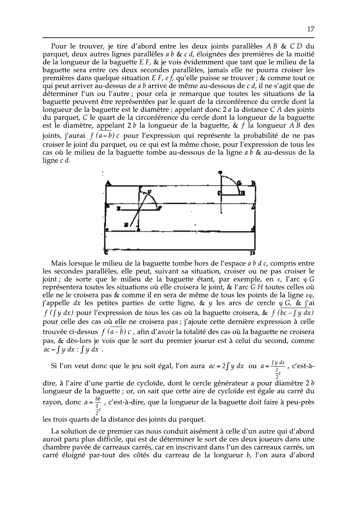Pour le trouver, je tire d'abord entre les deux joints parallèles A B & C D du parquet, deux autres lignes parallèles *a b & c d*, éloignées des premières de la moitié de la longueur de la baguette  $E F$ ,  $\&$  je vois évidemment que tant que le milieu de la baguette sera entre ces deux secondes parallèles, jamais elle ne pourra croiser les premières dans quelque situation E F, e f, qu'elle puisse se trouver ; & comme tout ce qui peut arriver au-dessus de *a b* arrive de même au-dessous de *c d*, il ne s'agit que de déterminer l'un ou l'autre ; pour cela je remarque que toutes les situations de la baguette peuvent être représentées par le quart de la circonférence du cercle dont la longueur de la baguette est le diamètre ; appelant donc 2 *a* la distance C A des joints du parquet, C le quart de la circonférence du cercle dont la longueur de la baguette est le diamètre, appelant  $2 b$  la longueur de la baguette, & f la longueur  $\overrightarrow{AB}$  des joints, j'aurai  $f(a-b)c$  pour l'expression qui représente la probabilité de ne pas croiser le joint du parquet, ou ce qui est la même chose, pour l'expression de tous les cas où le milieu de la baguette tombe au-dessous de la ligne  $a\bar{b}$  & au-dessus de la ligne  $c$  d.



Mais lorsque le milieu de la baguette tombe hors de l'espace *a b d c*, compris entre les secondes parallèles, elle peut, suivant sa situation, croiser ou ne pas croiser le joint ; de sorte que le milieu de la baguette étant, par exemple, en  $\varepsilon$ , l'arc  $\varphi$  G représentera toutes les situations où elle croisera le joint, & l'arc G H toutes celles où elle ne le croisera pas  $\&$  comme il en sera de même de tous les points de la ligne  $\epsilon \varphi$ , j'appelle dx les petites parties de cette ligne, & y les arcs de cercle  $\varphi G$ , & j'ai  $f(f y dx)$  pour l'expression de tous les cas où la baguette croisera, &  $f(bc - \int y dx)$ pour celle des cas où elle ne croisera pas ; j'ajoute cette dernière expression à celle trouvée ci-dessus  $f(a-b)c$ , afin d'avoir la totalité des cas où la baguette ne croisera pas, & dès-lors je vois que le sort du premier joueur est à celui du second, comme  $ac - \int y dx : \int y dx$ .

Si l'on veut donc que le jeu soit égal, l'on aura 
$$
ac = 2 \int y \, dx
$$
 ou  $a = \frac{\int y \, dx}{\frac{1}{2}c}$ , c'est-à-  
dire, à l'aire d'une partie de cycloïde, dont le cercle générateur a pour diamètre 2 *b*  
longueur de la baguette ; or, on sait que cette aire de cycloïde est égale au carré du  
rayon, donc  $a = \frac{bb}{2}c$ , c'est-à-dire, que la longueur de la baguette doit faire à peu-près

les trois quarts de la distance des joints du parquet.

La solution de ce premier cas nous conduit aisément à celle d'un autre qui d'abord auroit paru plus difficile, qui est de déterminer le sort de ces deux joueurs dans une chambre pavée de carreaux carrés, car en inscrivant dans l'un des carreaux carrés, un carré éloigné par-tout des côtés du carreau de la longueur b, l'on aura d'abord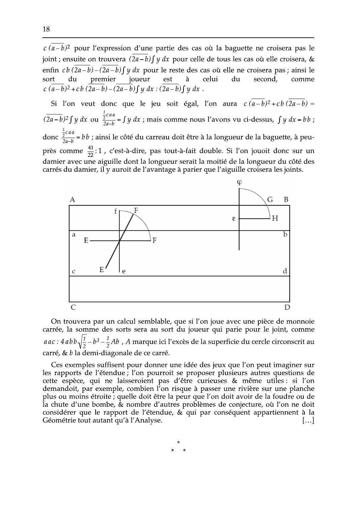$c(\overline{a-b})^2$  pour l'expression d'une partie des cas où la baguette ne croisera pas le joint ; ensuite on trouvera  $(\overline{2a-b}) \int y dx$  pour celle de tous les cas où elle croisera, & enfin  $cb(2a-b)-(2a-b) \int \psi dx$  pour le reste des cas où elle ne croisera pas; ainsi le premier joueur est sort du à celui du second. comme  $c(a-b)^2 + cb(2a-b) - (2a-b) \int y dx$ :  $(2a-b) \int y dx$ .

Si l'on veut donc que le jeu soit égal, l'on aura  $c(\overline{a-b})^2 + cb(\overline{2a-b}) =$  $(\overline{(2a-b)^2}\int y\ dx\ \text{ou}\ \frac{\frac{1}{2}caa}{2a-b} = \int y\ dx$ ; mais comme nous l'avons vu ci-dessus,  $\int y\ dx = b\ b$ ; donc  $\frac{1}{2}$ ca = bb ; ainsi le côté du carreau doit être à la longueur de la baguette, à peuprès comme  $\frac{41}{22}$ : 1, c'est-à-dire, pas tout-à-fait double. Si l'on jouoit donc sur un damier avec une aiguille dont la longueur serait la moitié de la longueur du côté des carrés du damier, il y auroit de l'avantage à parier que l'aiguille croisera les joints.



On trouvera par un calcul semblable, que si l'on joue avec une pièce de monnoie carrée, la somme des sorts sera au sort du joueur qui parie pour le joint, comme *aac*:  $4abb\sqrt{\frac{1}{2}} - b^3 - \frac{1}{2}Ab$ , A marque ici l'excès de la superficie du cercle circonscrit au carré, & b la demi-diagonale de ce carré.

Ces exemples suffisent pour donner une idée des jeux que l'on peut imaginer sur les rapports de l'étendue ; l'on pourroit se proposer plusieurs autres questions de cette espèce, qui ne laisseroient pas d'être curieuses & même utiles : si l'on demandoit, par exemple, combien l'on risque à passer une rivière sur une planche plus ou moins étroite ; quelle doit être la peur que l'on doit avoir de la foudre ou de la chute d'une bombe, & nombre d'autres problèmes de conjecture, où l'on ne doit considérer que le rapport de l'étendue, & qui par conséquent appartiennent à la Géométrie tout autant qu'à l'Analyse.  $\left| \ldots \right|$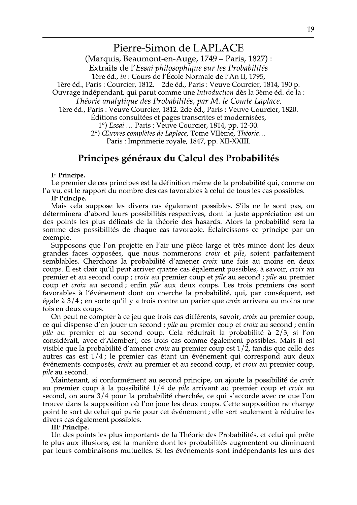# Pierre-Simon de LAPLACE

(Marquis, Beaumont-en-Auge, 1749 – Paris, 1827): Extraits de l'Essai philosophique sur les Probabilités 1ère éd., in : Cours de l'École Normale de l'An II, 1795, 1ère éd., Paris : Courcier, 1812. – 2de éd., Paris : Veuve Courcier, 1814, 190 p. Ouvrage indépendant, qui parut comme une *Introduction* dès la 3ème éd. de la : Théorie analytique des Probabilités, par M. le Comte Laplace. 1ère éd., Paris : Veuve Courcier, 1812. 2de éd., Paris : Veuve Courcier, 1820. Éditions consultées et pages transcrites et modernisées, 1°) *Essai* ... Paris : Veuve Courcier, 1814, pp. 12-30. 2°) Œuvres complètes de Laplace, Tome VIIème, Théorie...

Paris : Imprimerie royale, 1847, pp. XII-XXIII.

## Principes généraux du Calcul des Probabilités

### I<sup>er</sup> Principe.

Le premier de ces principes est la définition même de la probabilité qui, comme on l'a vu, est le rapport du nombre des cas favorables à celui de tous les cas possibles.

### II<sup>e</sup> Principe.

Mais cela suppose les divers cas également possibles. S'ils ne le sont pas, on déterminera d'abord leurs possibilités respectives, dont la juste appréciation est un des points les plus délicats de la théorie des hasards. Alors la probabilité sera la somme des possibilités de chaque cas favorable. Éclaircissons ce principe par un exemple.

Supposons que l'on projette en l'air une pièce large et très mince dont les deux grandes faces opposées, que nous nommerons croix et pile, soient parfaitement semblables. Cherchons la probabilité d'amener *croix* une fois au moins en deux coups. Il est clair qu'il peut arriver quatre cas également possibles, à savoir, croix au premier et au second coup ; *croix* au premier coup et *pile* au second ; *pile* au premier coup et *croix* au second; enfin *pile* aux deux coups. Les trois premiers cas sont favorables à l'événement dont on cherche la probabilité, qui, par conséquent, est égale à  $3/4$ ; en sorte qu'il y a trois contre un parier que *croix* arrivera au moins une fois en deux coups.

On peut ne compter à ce jeu que trois cas différents, savoir, *croix* au premier coup, ce qui dispense d'en jouer un second ; pile au premier coup et *croix* au second ; enfin pile au premier et au second coup. Cela réduirait la probabilité à 2/3, si l'on considérait, avec d'Alembert, ces trois cas comme également possibles. Mais il est visible que la probabilité d'amener *croix* au premier coup est  $1/2$ , tandis que celle des autres cas est  $1/4$ ; le premier cas étant un événement qui correspond aux deux événements composés, *croix* au premier et au second coup, et *croix* au premier coup, *pile* au second.

Maintenant, si conformément au second principe, on ajoute la possibilité de croix au premier coup à la possibilité  $1/4$  de *pile* arrivant au premier coup et *croix* au second, on aura 3/4 pour la probabilité cherchée, ce qui s'accorde avec ce que l'on trouve dans la supposition où l'on joue les deux coups. Cette supposition ne change point le sort de celui qui parie pour cet événement ; elle sert seulement à réduire les divers cas également possibles.

#### III<sup>e</sup> Principe.

Un des points les plus importants de la Théorie des Probabilités, et celui qui prête le plus aux illusions, est la manière dont les probabilités augmentent ou diminuent par leurs combinaisons mutuelles. Si les événements sont indépendants les uns des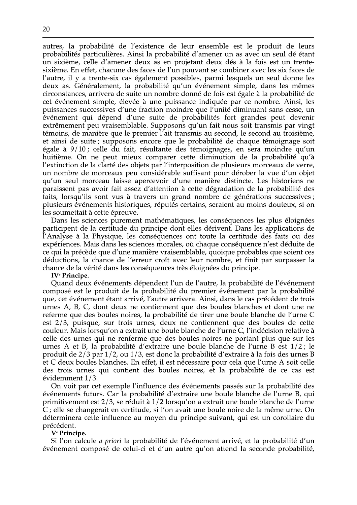autres, la probabilité de l'existence de leur ensemble est le produit de leurs probabilités particulières. Ainsi la probabilité d'amener un as avec un seul dé étant un sixième, celle d'amener deux as en projetant deux dés à la fois est un trentesixième. En effet, chacune des faces de l'un pouvant se combiner avec les six faces de l'autre, il y a trente-six cas également possibles, parmi lesquels un seul donne les deux as. Généralement, la probabilité qu'un événement simple, dans les mêmes circonstances, arrivera de suite un nombre donné de fois est égale à la probabilité de cet événement simple, élevée à une puissance indiquée par ce nombre. Ainsi, les puissances successives d'une fraction moindre que l'unité diminuant sans cesse, un événement qui dépend d'une suite de probabilités fort grandes peut devenir extrêmement peu vraisemblable. Supposons qu'un fait nous soit transmis par vingt témoins, de manière que le premier l'ait transmis au second, le second au troisième, et ainsi de suite ; supposons encore que le probabilité de chaque témoignage soit égale à  $9/10$ ; celle du fait, résultante des témoignages, en sera moindre qu'un huitième. On ne peut mieux comparer cette diminution de la probabilité qu'à l'extinction de la clarté des objets par l'interposition de plusieurs morceaux de verre, un nombre de morceaux peu considérable suffisant pour dérober la vue d'un objet qu'un seul morceau laisse apercevoir d'une manière distincte. Les historiens ne paraissent pas avoir fait assez d'attention à cette dégradation de la probabilité des faits, lorsqu'ils sont vus à travers un grand nombre de générations successives; plusieurs événements historiques, réputés certains, seraient au moins douteux, si on les soumettait à cette épreuve.

Dans les sciences purement mathématiques, les conséquences les plus éloignées participent de la certitude du principe dont elles dérivent. Dans les applications de l'Analyse à la Physique, les conséquences ont toute la certitude des faits ou des expériences. Mais dans les sciences morales, où chaque conséquence n'est déduite de ce qui la précède que d'une manière vraisemblable, quoique probables que soient ces déductions, la chance de l'erreur croît avec leur nombre, et finit par surpasser la chance de la vérité dans les conséquences très éloignées du principe.

IV<sup>e</sup> Principe.

Quand deux événements dépendent l'un de l'autre, la probabilité de l'événement composé est le produit de la probabilité du premier événement par la probabilité que, cet événement étant arrivé, l'autre arrivera. Ainsi, dans le cas précédent de trois urnes A, B, C, dont deux ne contiennent que des boules blanches et dont une ne referme que des boules noires, la probabilité de tirer une boule blanche de l'urne C est 2/3, puisque, sur trois urnes, deux ne contiennent que des boules de cette couleur. Mais lorsqu'on a extrait une boule blanche de l'urne C, l'indécision relative à celle des urnes qui ne renferme que des boules noires ne portant plus que sur les urnes A et B, la probabilité d'extraire une boule blanche de l'urne B est  $1/2$ ; le produit de  $2/3$  par  $1/2$ , ou  $1/3$ , est donc la probabilité d'extraire à la fois des urnes B et C deux boules blanches. En effet, il est nécessaire pour cela que l'urne A soit celle des trois urnes qui contient des boules noires, et la probabilité de ce cas est  $évidemment 1/3.$ 

On voit par cet exemple l'influence des événements passés sur la probabilité des événements futurs. Car la probabilité d'extraire une boule blanche de l'urne B, qui primitivement est 2/3, se réduit à 1/2 lorsqu'on a extrait une boule blanche de l'urne C; elle se changerait en certitude, si l'on avait une boule noire de la même urne. On déterminera cette influence au moyen du principe suivant, qui est un corollaire du précédent.

### V<sup>e</sup> Principe.

Si l'on calcule *a priori* la probabilité de l'événement arrivé, et la probabilité d'un événement composé de celui-ci et d'un autre qu'on attend la seconde probabilité,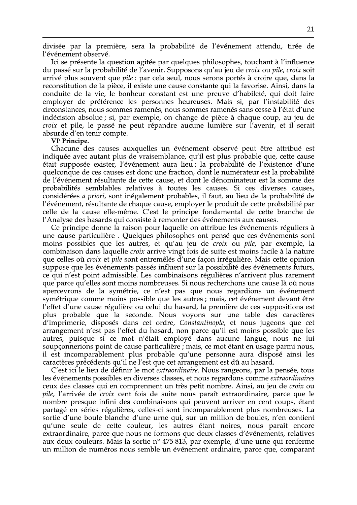divisée par la première, sera la probabilité de l'événement attendu, tirée de l'événement observé.

Ici se présente la question agitée par quelques philosophes, touchant à l'influence du passé sur la probabilité de l'avenir. Supposons qu'au jeu de *croix* ou *pile, croix* soit arrivé plus souvent que *pile* : par cela seul, nous serons portés à croire que, dans la reconstitution de la pièce, il existe une cause constante qui la favorise. Ainsi, dans la conduite de la vie, le bonheur constant est une preuve d'habileté, qui doit faire employer de préférence les personnes heureuses. Mais si, par l'instabilité des circonstances, nous sommes ramenés, nous sommes ramenés sans cesse à l'état d'une indécision absolue ; si, par exemple, on change de pièce à chaque coup, au jeu de croix et pile, le passé ne peut répandre aucune lumière sur l'avenir, et il serait absurde d'en tenir compte.

VI<sup>e</sup> Principe.

Chacune des causes auxquelles un événement observé peut être attribué est indiquée avec autant plus de vraisemblance, qu'il est plus probable que, cette cause était supposée exister, l'événement aura lieu ; la probabilité de l'existence d'une quelconque de ces causes est donc une fraction, dont le numérateur est la probabilité de l'événement résultante de cette cause, et dont le dénominateur est la somme des probabilités semblables relatives à toutes les causes. Si ces diverses causes, considérées *a priori*, sont inégalement probables, il faut, au lieu de la probabilité de l'événement, résultante de chaque cause, employer le produit de cette probabilité par celle de la cause elle-même. C'est le principe fondamental de cette branche de l'Analyse des hasards qui consiste à remonter des événements aux causes.

Ce principe donne la raison pour laquelle on attribue les événements réguliers à une cause particulière. Quelques philosophes ont pensé que ces événements sont moins possibles que les autres, et qu'au jeu de croix ou pile, par exemple, la combinaison dans laquelle *croix* arrive vingt fois de suite est moins facile à la nature que celles où *croix* et *pile* sont entremêlés d'une facon irrégulière. Mais cette opinion suppose que les événements passés influent sur la possibilité des événements futurs, ce qui n'est point admissible. Les combinaisons régulières n'arrivent plus rarement que parce qu'elles sont moins nombreuses. Si nous recherchons une cause là où nous apercevrons de la symétrie, ce n'est pas que nous regardions un événement symétrique comme moins possible que les autres ; mais, cet événement devant être l'effet d'une cause régulière ou celui du hasard, la première de ces suppositions est plus probable que la seconde. Nous voyons sur une table des caractères d'imprimerie, disposés dans cet ordre, Constantinople, et nous jugeons que cet arrangement n'est pas l'effet du hasard, non parce qu'il est moins possible que les autres, puisque si ce mot n'était employé dans aucune langue, nous ne lui soupconnerions point de cause particulière ; mais, ce mot étant en usage parmi nous, il est incomparablement plus probable qu'une personne aura disposé ainsi les caractères précédents qu'il ne l'est que cet arrangement est dû au hasard.

C'est ici le lieu de définir le mot extraordinaire. Nous rangeons, par la pensée, tous les événements possibles en diverses classes, et nous regardons comme extraordinaires ceux des classes qui en comprennent un très petit nombre. Ainsi, au jeu de *croix* ou pile, l'arrivée de croix cent fois de suite nous paraît extraordinaire, parce que le nombre presque infini des combinaisons qui peuvent arriver en cent coups, étant partagé en séries régulières, celles-ci sont incomparablement plus nombreuses. La sortie d'une boule blanche d'une urne qui, sur un million de boules, n'en contient qu'une seule de cette couleur, les autres étant noires, nous paraît encore extraordinaire, parce que nous ne formons que deux classes d'événements, relatives aux deux couleurs. Mais la sortie nº 475 813, par exemple, d'une urne qui renferme un million de numéros nous semble un événement ordinaire, parce que, comparant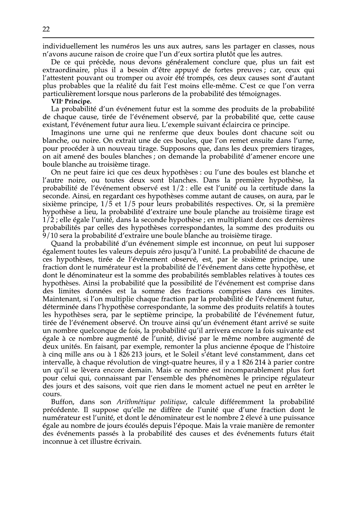individuellement les numéros les uns aux autres, sans les partager en classes, nous n'avons aucune raison de croire que l'un d'eux sortira plutôt que les autres.

De ce qui précède, nous devons généralement conclure que, plus un fait est extraordinaire, plus il a besoin d'être appuyé de fortes preuves; car, ceux qui l'attestent pouvant ou tromper ou avoir été trompés, ces deux causes sont d'autant plus probables que la réalité du fait l'est moins elle-même. C'est ce que l'on verra particulièrement lorsque nous parlerons de la probabilité des témoignages.

VII<sup>e</sup> Principe.

La probabilité d'un événement futur est la somme des produits de la probabilité de chaque cause, tirée de l'événement observé, par la probabilité que, cette cause existant, l'événement futur aura lieu. L'exemple suivant éclaircira ce principe.

Imaginons une urne qui ne renferme que deux boules dont chacune soit ou blanche, ou noire. On extrait une de ces boules, que l'on remet ensuite dans l'urne, pour procéder à un nouveau tirage. Supposons que, dans les deux premiers tirages, on ait amené des boules blanches ; on demande la probabilité d'amener encore une boule blanche au troisième tirage.

On ne peut faire ici que ces deux hypothèses : ou l'une des boules est blanche et l'autre noire, ou toutes deux sont blanches. Dans la première hypothèse, la probabilité de l'événement observé est 1/2 : elle est l'unité ou la certitude dans la seconde. Ainsi, en regardant ces hypothèses comme autant de causes, on aura, par le sixième principe,  $1/5$  et  $1/5$  pour leurs probabilités respectives. Or, si la première hypothèse a lieu, la probabilité d'extraire une boule planche au troisième tirage est 1/2; elle égale l'unité, dans la seconde hypothèse ; en multipliant donc ces dernières probabilités par celles des hypothèses correspondantes, la somme des produits ou  $9/10$  sera la probabilité d'extraire une boule blanche au troisième tirage.

Quand la probabilité d'un événement simple est inconnue, on peut lui supposer également toutes les valeurs depuis zéro jusqu'à l'unité. La probabilité de chacune de ces hypothèses, tirée de l'événement observé, est, par le sixième principe, une fraction dont le numérateur est la probabilité de l'événement dans cette hypothèse, et dont le dénominateur est la somme des probabilités semblables relatives à toutes ces hypothèses. Ainsi la probabilité que la possibilité de l'événement est comprise dans des limites données est la somme des fractions comprises dans ces limites. Maintenant, si l'on multiplie chaque fraction par la probabilité de l'événement futur, déterminée dans l'hypothèse correspondante, la somme des produits relatifs à toutes les hypothèses sera, par le septième principe, la probabilité de l'événement futur, tirée de l'événement observé. On trouve ainsi qu'un événement étant arrivé se suite un nombre quelconque de fois, la probabilité qu'il arrivera encore la fois suivante est égale à ce nombre augmenté de l'unité, divisé par le même nombre augmenté de deux unités. En faisant, par exemple, remonter la plus ancienne époque de l'histoire à cinq mille ans ou à 1 826 213 jours, et le Soleil s'étant levé constamment, dans cet intervalle, à chaque révolution de vingt-quatre heures, il y a 1 826 214 à parier contre un qu'il se lèvera encore demain. Mais ce nombre est incomparablement plus fort pour celui qui, connaissant par l'ensemble des phénomènes le principe régulateur des jours et des saisons, voit que rien dans le moment actuel ne peut en arrêter le cours.

Buffon, dans son Arithmétique politique, calcule différemment la probabilité précédente. Il suppose qu'elle ne diffère de l'unité que d'une fraction dont le numérateur est l'unité, et dont le dénominateur est le nombre 2 élevé à une puissance égale au nombre de jours écoulés depuis l'époque. Mais la vraie manière de remonter des événements passés à la probabilité des causes et des événements futurs était inconnue à cet illustre écrivain.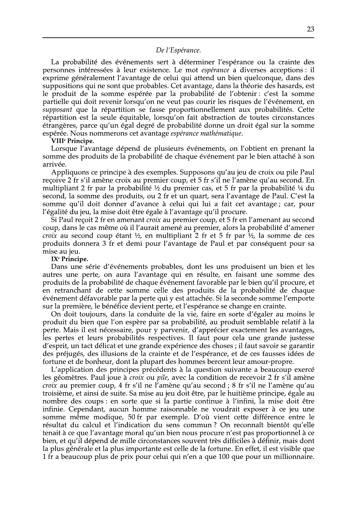#### De l'Espérance.

La probabilité des événements sert à déterminer l'espérance ou la crainte des personnes intéressées à leur existence. Le mot *espérance* a diverses acceptions : il exprime généralement l'avantage de celui qui attend un bien quelconque, dans des suppositions qui ne sont que probables. Cet avantage, dans la théorie des hasards, est le produit de la somme espérée par la probabilité de l'obtenir : c'est la somme partielle qui doit revenir lorsqu'on ne veut pas courir les risques de l'événement, en *supposant* que la répartition se fasse proportionnellement aux probabilités. Cette répartition est la seule équitable, lorsqu'on fait abstraction de toutes circonstances étrangères, parce qu'un égal degré de probabilité donne un droit égal sur la somme espérée. Nous nommerons cet avantage espérance mathématique.

### **VIII<sup>e</sup> Principe.**

Lorsque l'avantage dépend de plusieurs événements, on l'obtient en prenant la somme des produits de la probabilité de chaque événement par le bien attaché à son arrivée.

Appliquons ce principe à des exemples. Supposons qu'au jeu de croix ou pile Paul reçoive 2 fr s'il amène croix au premier coup, et 5 fr s'il ne l'amène qu'au second. En multipliant 2 fr par la probabilité  $\frac{1}{2}$  du premier cas, et 5 fr par la probabilité  $\frac{1}{4}$  du second, la somme des produits, ou 2 fr et un quart, sera l'avantage de Paul. C'est la somme qu'il doit donner d'avance à celui qui lui a fait cet avantage ; car, pour l'égalité du jeu, la mise doit être égale à l'avantage qu'il procure.

Si Paul recoit 2 fr en amenant *croix* au premier coup, et 5 fr en l'amenant au second coup, dans le cas même où il l'aurait amené au premier, alors la probabilité d'amener *croix* au second coup étant  $\frac{1}{2}$ , en multipliant 2 fr et 5 fr par  $\frac{1}{2}$ , la somme de ces produits donnera 3 fr et demi pour l'avantage de Paul et par conséquent pour sa mise au jeu.

### IX<sup>e</sup> Principe.

Dans une série d'événements probables, dont les uns produisent un bien et les autres une perte, on aura l'avantage qui en résulte, en faisant une somme des produits de la probabilité de chaque événement favorable par le bien qu'il procure, et en retranchant de cette somme celle des produits de la probabilité de chaque événement défavorable par la perte qui y est attachée. Si la seconde somme l'emporte sur la première, le bénéfice devient perte, et l'espérance se change en crainte.

On doit toujours, dans la conduite de la vie, faire en sorte d'égaler au moins le produit du bien que l'on espère par sa probabilité, au produit semblable relatif à la perte. Mais il est nécessaire, pour y parvenir, d'apprécier exactement les avantages, les pertes et leurs probabilités respectives. Il faut pour cela une grande justesse d'esprit, un tact délicat et une grande expérience des choses ; il faut savoir se garantir des préjugés, des illusions de la crainte et de l'espérance, et de ces fausses idées de fortune et de bonheur, dont la plupart des hommes bercent leur amour-propre.

L'application des principes précédents à la question suivante a beaucoup exercé les géomètres. Paul joue à *croix* ou *pile*, avec la condition de recevoir 2 fr s'il amène *croix* au premier coup, 4 fr s'il ne l'amène qu'au second ; 8 fr s'il ne l'amène qu'au troisième, et ainsi de suite. Sa mise au jeu doit être, par le huitième principe, égale au nombre des coups : en sorte que si la partie continue à l'infini, la mise doit être infinie. Cependant, aucun homme raisonnable ne voudrait exposer à ce jeu une somme même modique, 50 fr par exemple. D'où vient cette différence entre le résultat du calcul et l'indication du sens commun? On reconnaît bientôt qu'elle tenait à ce que l'avantage moral qu'un bien nous procure n'est pas proportionnel à ce bien, et qu'il dépend de mille circonstances souvent très difficiles à définir, mais dont la plus générale et la plus importante est celle de la fortune. En effet, il est visible que 1 fr a beaucoup plus de prix pour celui qui n'en a que 100 que pour un millionnaire.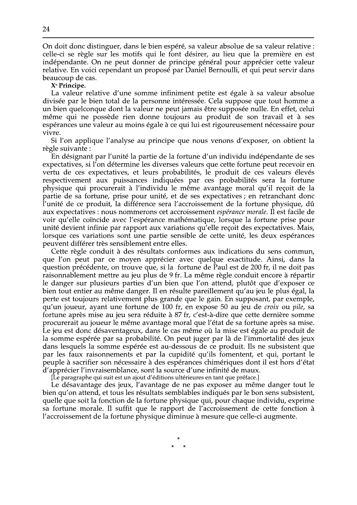On doit donc distinguer, dans le bien espéré, sa valeur absolue de sa valeur relative : celle-ci se règle sur les motifs qui le font désirer, au lieu que la première en est indépendante. On ne peut donner de principe général pour apprécier cette valeur relative. En voici cependant un proposé par Daniel Bernoulli, et qui peut servir dans beaucoup de cas.

### X<sup>e</sup> Principe.

La valeur relative d'une somme infiniment petite est égale à sa valeur absolue divisée par le bien total de la personne intéressée. Cela suppose que tout homme a un bien quelconque dont la valeur ne peut jamais être supposée nulle. En effet, celui même qui ne possède rien donne toujours au produit de son travail et à ses espérances une valeur au moins égale à ce qui lui est rigoureusement nécessaire pour vivre.

Si l'on applique l'analyse au principe que nous venons d'exposer, on obtient la règle suivante :

En désignant par l'unité la partie de la fortune d'un individu indépendante de ses expectatives, si l'on détermine les diverses valeurs que cette fortune peut recevoir en vertu de ces expectatives, et leurs probabilités, le produit de ces valeurs élevés respectivement aux puissances indiquées par ces probabilités sera la fortune physique qui procurerait à l'individu le même avantage moral qu'il reçoit de la partie de sa fortune, prise pour unité, et de ses expectatives ; en retranchant donc l'unité de ce produit, la différence sera l'accroissement de la fortune physique, dû aux expectatives : nous nommerons cet accroissement *espérance morale*. Il est facile de voir qu'elle coïncide avec l'espérance mathématique, lorsque la fortune prise pour unité devient infinie par rapport aux variations qu'elle reçoit des expectatives. Mais, lorsque ces variations sont une partie sensible de cette unité, les deux espérances peuvent différer très sensiblement entre elles.

Cette règle conduit à des résultats conformes aux indications du sens commun, que l'on peut par ce moyen apprécier avec quelque exactitude. Ainsi, dans la question précédente, on trouve que, si la fortune de Paul est de 200 fr, il ne doit pas raisonnablement mettre au jeu plus de 9 fr. La même règle conduit encore à répartir le danger sur plusieurs parties d'un bien que l'on attend, plutôt que d'exposer ce bien tout entier au même danger. Il en résulte pareillement qu'au jeu le plus égal, la perte est toujours relativement plus grande que le gain. En supposant, par exemple, qu'un joueur, ayant une fortune de 100 fr, en expose 50 au jeu de *croix* ou *pile*, sa fortune après mise au jeu sera réduite à 87 fr, c'est-à-dire que cette dernière somme procurerait au joueur le même avantage moral que l'état de sa fortune après sa mise. Le jeu est donc désaventageux, dans le cas même où la mise est égale au produit de la somme espérée par sa probabilité. On peut juger par là de l'immortalité des jeux dans lesquels la somme espérée est au-dessous de ce produit. Ils ne subsistent que par les faux raisonnements et par la cupidité qu'ils fomentent, et qui, portant le peuple à sacrifier son nécessaire à des espérances chimériques dont il est hors d'état d'apprécier l'invraisemblance, sont la source d'une infinité de maux.

[Le paragraphe qui suit est un ajout d'éditions ultérieures en tant que préface.]

Le désavantage des jeux, l'avantage de ne pas exposer au même danger tout le bien qu'on attend, et tous les résultats semblables indiqués par le bon sens subsistent, quelle que soit la fonction de la fortune physique qui, pour chaque individu, exprime sa fortune morale. Il suffit que le rapport de l'accroissement de cette fonction à l'accroissement de la fortune physique diminue à mesure que celle-ci augmente.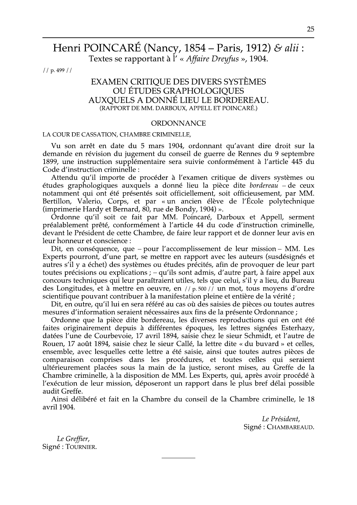# Henri POINCARÉ (Nancy, 1854 – Paris, 1912) & alii: Textes se rapportant à I' « Affaire Dreyfus », 1904.

 $1/p.49911$ 

### EXAMEN CRITIOUE DES DIVERS SYSTÈMES OU ÉTUDES GRAPHOLOGIQUES AUXOUELS A DONNÉ LIEU LE BORDEREAU. (RAPPORT DE MM. DARBOUX, APPELL ET POINCARÉ.)

### **ORDONNANCE**

### LA COUR DE CASSATION, CHAMBRE CRIMINELLE,

Vu son arrêt en date du 5 mars 1904, ordonnant qu'avant dire droit sur la demande en révision du jugement du conseil de guerre de Rennes du 9 septembre 1899, une instruction supplémentaire sera suivie conformément à l'article 445 du Code d'instruction criminelle :

Attendu qu'il importe de procéder à l'examen critique de divers systèmes ou études graphologiques auxquels a donné lieu la pièce dite bordereau – de ceux notamment qui ont été présentés soit officiellement, soit officieusement, par MM. Bertillon, Valerio, Corps, et par « un ancien élève de l'École polytechnique (imprimerie Hardy et Bernard, 80, rue de Bondy, 1904) ».

Ordonne qu'il soit ce fait par MM. Poincaré, Darboux et Appell, serment préalablement prêté, conformément à l'article 44 du code d'instruction criminelle, devant le Président de cette Chambre, de faire leur rapport et de donner leur avis en leur honneur et conscience :

Dit, en conséquence, que - pour l'accomplissement de leur mission - MM. Les Experts pourront, d'une part, se mettre en rapport avec les auteurs (susdésignés et autres s'il y a échet) des systèmes ou études précités, afin de provoquer de leur part toutes précisions ou explications ;  $-$  qu'ils sont admis, d'autre part, à faire appel aux concours techniques qui leur paraîtraient utiles, tels que celui, s'il y a lieu, du Bureau des Longitudes, et à mettre en oeuvre, en // p. 500 // un mot, tous moyens d'ordre scientifique pouvant contribuer à la manifestation pleine et entière de la vérité ;

Dit, en outre, qu'il lui en sera référé au cas où des saisies de pièces ou toutes autres mesures d'information seraient nécessaires aux fins de la présente Ordonnance ;

Ordonne que la pièce dite bordereau, les diverses reproductions qui en ont été faites originairement depuis à différentes époques, les lettres signées Esterhazy, datées l'une de Courbevoie, 17 avril 1894, saisie chez le sieur Schmidt, et l'autre de Rouen, 17 août 1894, saisie chez le sieur Callé, la lettre dite « du buvard » et celles, ensemble, avec lesquelles cette lettre a été saisie, ainsi que toutes autres pièces de comparaison comprises dans les procédures, et toutes celles qui seraient ultérieurement placées sous la main de la justice, seront mises, au Greffe de la Chambre criminelle, à la disposition de MM. Les Experts, qui, après avoir procédé à l'exécution de leur mission, déposeront un rapport dans le plus bref délai possible audit Greffe.

Ainsi délibéré et fait en la Chambre du conseil de la Chambre criminelle, le 18 avril 1904.

> Le Président, Signé : CHAMBAREAUD.

Le Greffier, Signé : TOURNIER.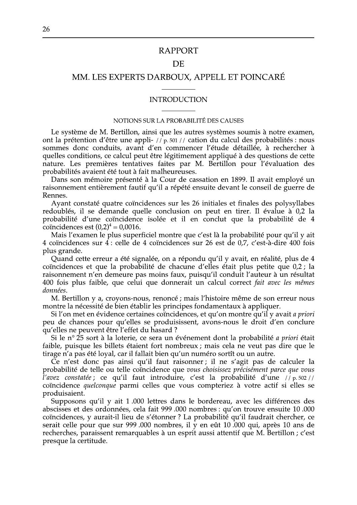### **RAPPORT**

### **DE**

### MM. LES EXPERTS DARBOUX, APPELL ET POINCARÉ

### **INTRODUCTION**

### NOTIONS SUR LA PROBABILITÉ DES CAUSES

Le système de M. Bertillon, ainsi que les autres systèmes soumis à notre examen, ont la prétention d'être une appli- // p. 501 // cation du calcul des probabilités : nous sommes donc conduits, avant d'en commencer l'étude détaillée, à rechercher à quelles conditions, ce calcul peut être légitimement appliqué à des questions de cette nature. Les premières tentatives faites par M. Bertillon pour l'évaluation des probabilités avaient été tout à fait malheureuses.

Dans son mémoire présenté à la Cour de cassation en 1899. Il avait employé un raisonnement entièrement fautif qu'il a répété ensuite devant le conseil de guerre de Rennes.

Ayant constaté quatre coïncidences sur les 26 initiales et finales des polysyllabes redoublés, il se demande quelle conclusion on peut en tirer. Il évalue à 0,2 la probabilité d'une coïncidence isolée et il en conclut que la probabilité de 4 coïncidences est  $(0,2)^4 = 0,0016$ .

Mais l'examen le plus superficiel montre que c'est là la probabilité pour qu'il y ait 4 coïncidences sur 4 : celle de 4 coïncidences sur 26 est de 0,7, c'est-à-dire 400 fois plus grande.

Quand cette erreur a été signalée, on a répondu qu'il y avait, en réalité, plus de 4 coincidences et que la probabilité de chacune d'elles était plus petite que 0,2 ; la raisonnement n'en demeure pas moins faux, puisqu'il conduit l'auteur à un résultat 400 fois plus faible, que celui que donnerait un calcul correct fait avec les mêmes données.

M. Bertillon y a, croyons-nous, renoncé ; mais l'histoire même de son erreur nous montre la nécessité de bien établir les principes fondamentaux à appliquer.

Si l'on met en évidence certaines coïncidences, et qu'on montre qu'il y avait *a priori* peu de chances pour qu'elles se produisissent, avons-nous le droit d'en conclure qu'elles ne peuvent être l'effet du hasard?

Si le n° 25 sort à la loterie, ce sera un événement dont la probabilité *a priori* était faible, puisque les billets étaient fort nombreux ; mais cela ne veut pas dire que le tirage n'a pas été loyal, car il fallait bien qu'un numéro sortît ou un autre.

Ce n'est donc pas ainsi qu'il faut raisonner ; il ne s'agit pas de calculer la probabilité de telle ou telle coïncidence que vous choisissez précisément parce que vous  $\bar{l}'$ avez constatée; ce qu'il faut introduire, c'est la probabilité d'une //p.502// coincidence *quelconque* parmi celles que vous compteriez à votre actif si elles se produisaient.

Supposons qu'il y ait 1.000 lettres dans le bordereau, avec les différences des abscisses et des ordonnées, cela fait 999.000 nombres : qu'on trouve ensuite 10.000 coïncidences, y aurait-il lieu de s'étonner ? La probabilité qu'il faudrait chercher, ce serait celle pour que sur 999.000 nombres, il y en eût 10.000 qui, après 10 ans de recherches, paraissent remarquables à un esprit aussi attentif que M. Bertillon; c'est presque la certitude.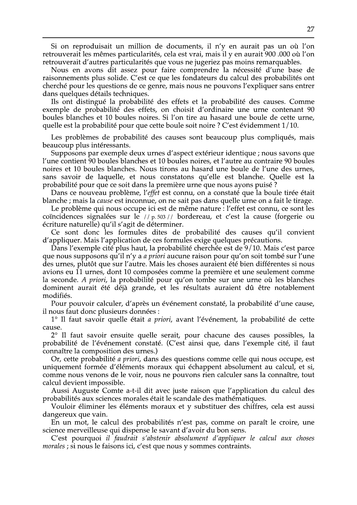Si on reproduisait un million de documents, il n'y en aurait pas un où l'on retrouverait les mêmes particularités, cela est vrai, mais il y en aurait 900 .000 où l'on retrouverait d'autres particularités que vous ne jugeriez pas moins remarquables.

Nous en avons dit assez pour faire comprendre la nécessité d'une base de raisonnements plus solide. C'est ce que les fondateurs du calcul des probabilités ont cherché pour les questions de ce genre, mais nous ne pouvons l'expliquer sans entrer dans quelques détails techniques.

Ils ont distingué la probabilité des effets et la probabilité des causes. Comme exemple de probabilité des effets, on choisit d'ordinaire une urne contenant 90 boules blanches et 10 boules noires. Si l'on tire au hasard une boule de cette urne, quelle est la probabilité pour que cette boule soit noire ? C'est évidemment  $1/10$ .

Les problèmes de probabilité des causes sont beaucoup plus compliqués, mais beaucoup plus intéressants.

Supposons par exemple deux urnes d'aspect extérieur identique ; nous savons que l'une contient 90 boules blanches et 10 boules noires, et l'autre au contraire 90 boules noires et 10 boules blanches. Nous tirons au hasard une boule de l'une des urnes, sans savoir de laquelle, et nous constatons qu'elle est blanche. Quelle est la probabilité pour que ce soit dans la première urne que nous ayons puisé ?

Dans ce nouveau problème, l'effet est connu, on a constaté que la boule tirée était blanche; mais la *cause* est inconnue, on ne sait pas dans quelle urne on a fait le tirage.

Le problème qui nous occupe ici est de même nature : l'effet est connu, ce sont les coïncidences signalées sur le  $//p.503//$  bordereau, et c'est la cause (forgerie ou écriture naturelle) qu'il s'agit de déterminer.

Ce sont donc les formules dites de probabilité des causes qu'il convient d'appliquer. Mais l'application de ces formules exige quelques précautions.

Dans l'exemple cité plus haut, la probabilité cherchée est de 9/10. Mais c'est parce que nous supposons qu'il n'y a *a priori* aucune raison pour qu'on soit tombé sur l'une des urnes, plutôt que sur l'autre. Mais les choses auraient été bien différentes si nous avions eu 11 urnes, dont 10 composées comme la première et une seulement comme la seconde. A priori, la probabilité pour qu'on tombe sur une urne où les blanches dominent aurait été déjà grande, et les résultats auraient dû être notablement modifiés.

Pour pouvoir calculer, d'après un événement constaté, la probabilité d'une cause, il nous faut donc plusieurs données :

1° Il faut savoir quelle était *a priori*, avant l'événement, la probabilité de cette cause.

2° Il faut savoir ensuite quelle serait, pour chacune des causes possibles, la probabilité de l'événement constaté. (C'est ainsi que, dans l'exemple cité, il faut connaître la composition des urnes.)

Or, cette probabilité *a priori*, dans des questions comme celle qui nous occupe, est uniquement formée d'éléments moraux qui échappent absolument au calcul, et si, comme nous venons de le voir, nous ne pouvons rien calculer sans la connaître, tout calcul devient impossible.

Aussi Auguste Comte a-t-il dit avec juste raison que l'application du calcul des probabilités aux sciences morales était le scandale des mathématiques.

Vouloir éliminer les éléments moraux et y substituer des chiffres, cela est aussi dangereux que vain.

En un mot, le calcul des probabilités n'est pas, comme on paraît le croire, une science merveilleuse qui dispense le savant d'avoir du bon sens.

C'est pourquoi il faudrait s'abstenir absolument d'appliquer le calcul aux choses *morales*; si nous le faisons ici, c'est que nous y sommes contraints.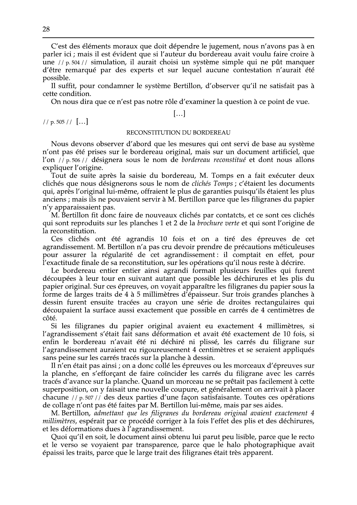C'est des éléments moraux que doit dépendre le jugement, nous n'avons pas à en parler ici ; mais il est évident que si l'auteur du bordereau avait voulu faire croire à une // p. 504 // simulation, il aurait choisi un système simple qui ne pût manquer d'être remarqué par des experts et sur lequel aucune contestation n'aurait été possible.

Il suffit, pour condamner le système Bertillon, d'observer qu'il ne satisfait pas à cette condition.

On nous dira que ce n'est pas notre rôle d'examiner la question à ce point de vue.

 $\left[\ldots\right]$ 

// p. 505 //  $[\dots]$ 

### RECONSTITUTION DU BORDEREAU

Nous devons observer d'abord que les mesures qui ont servi de base au système n'ont pas été prises sur le bordereau original, mais sur un document artificiel, que l'on // p. 506 // désignera sous le nom de bordereau reconstitué et dont nous allons expliquer l'origine.

Tout de suite après la saisie du bordereau, M. Tomps en a fait exécuter deux clichés que nous désignerons sous le nom de *clichés Tomps*; c'étaient les documents qui, après l'original lui-même, offraient le plus de garanties puisqu'ils étaient les plus anciens; mais ils ne pouvaient servir à M. Bertillon parce que les filigranes du papier n'y apparaissaient pas.

M. Bertillon fit donc faire de nouveaux clichés par contatcts, et ce sont ces clichés qui sont reproduits sur les planches 1 et 2 de la *brochure verte* et qui sont l'origine de la reconstitution.

Ces clichés ont été agrandis 10 fois et on a tiré des épreuves de cet agrandissement. M. Bertillon n'a pas cru devoir prendre de précautions méticuleuses pour assurer la régularité de cet agrandissement : il comptait en effet, pour l'exactitude finale de sa reconstitution, sur les opérations qu'il nous reste à décrire.

Le bordereau entier entier ainsi agrandi formait plusieurs feuilles qui furent découpées à leur tour en suivant autant que possible les déchirures et les plis du papier original. Sur ces épreuves, on voyait apparaître les filigranes du papier sous la forme de larges traits de 4 à 5 millimètres d'épaisseur. Sur trois grandes planches à dessin furent ensuite tracées au crayon une série de droites rectangulaires qui découpaient la surface aussi exactement que possible en carrés de 4 centimètres de côté.

Si les filigranes du papier original avaient eu exactement 4 millimètres, si l'agrandissement s'était fait sans déformation et avait été exactement de 10 fois, si enfin le bordereau n'avait été ni déchiré ni plissé, les carrés du filigrane sur l'agrandissement auraient eu rigoureusement 4 centimètres et se seraient appliqués sans peine sur les carrés tracés sur la planche à dessin.

Il n'en était pas ainsi ; on a donc collé les épreuves ou les morceaux d'épreuves sur la planche, en s'efforçant de faire coïncider les carrés du filigrane avec les carrés tracés d'avance sur la planche. Quand un morceau ne se prêtait pas facilement à cette superposition, on y faisait une nouvelle coupure, et généralement on arrivait à placer chacune // p. 507 // des deux parties d'une façon satisfaisante. Toutes ces opérations de collage n'ont pas été faites par M. Bertillon lui-même, mais par ses aides.

M. Bertillon, admettant que les filigranes du bordereau original avaient exactement 4 millimètres, espérait par ce procédé corriger à la fois l'effet des plis et des déchirures, et les déformations dues à l'agrandissement.

Quoi qu'il en soit, le document ainsi obtenu lui parut peu lisible, parce que le recto et le verso se voyaient par transparence, parce que le halo photographique avait épaissi les traits, parce que le large trait des filigranes était très apparent.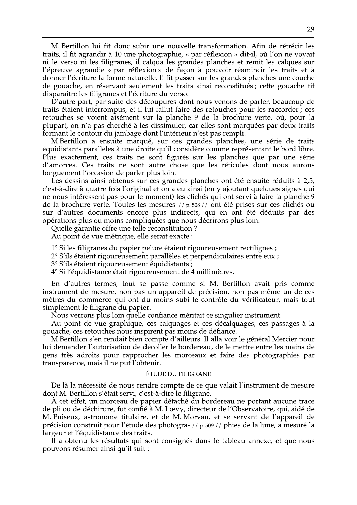M. Bertillon lui fit donc subir une nouvelle transformation. Afin de rétrécir les traits, il fit agrandir à 10 une photographie, « par réflexion » dit-il, où l'on ne voyait ni le verso ni les filigranes, il calqua les grandes planches et remit les calques sur l'épreuve agrandie « par réflexion » de façon à pouvoir réamincir les traits et à donner l'écriture la forme naturelle. Il fit passer sur les grandes planches une couche de gouache, en réservant seulement les traits ainsi reconstitués; cette gouache fit disparaître les filigranes et l'écriture du verso.

D'autre part, par suite des découpures dont nous venons de parler, beaucoup de traits étaient interrompus, et il lui fallut faire des retouches pour les raccorder ; ces retouches se voient aisément sur la planche 9 de la brochure verte, où, pour la plupart, on n'a pas cherché à les dissimuler, car elles sont marquées par deux traits formant le contour du jambage dont l'intérieur n'est pas rempli.

M.Bertillon a ensuite marqué, sur ces grandes planches, une série de traits équidistants parallèles à une droite qu'il considère comme représentant le bord libre. Plus exactement, ces traits ne sont figurés sur les planches que par une série d'amorces. Ces traits ne sont autre chose que les réticules dont nous aurons longuement l'occasion de parler plus loin.

Les dessins ainsi obtenus sur ces grandes planches ont été ensuite réduits à 2,5, c'est-à-dire à quatre fois l'original et on a eu ainsi (en y ajoutant quelques signes qui ne nous intéressent pas pour le moment) les clichés qui ont servi à faire la planche 9 de la brochure verte. Toutes les mesures //  $p.508$  // ont été prises sur ces clichés ou sur d'autres documents encore plus indirects, qui en ont été déduits par des opérations plus ou moins compliquées que nous décrirons plus loin.

Quelle garantie offre une telle reconstitution?

Au point de vue métrique, elle serait exacte :

1° Si les filigranes du papier pelure étaient rigoureusement rectilignes ;

2° S'ils étaient rigoureusement parallèles et perpendiculaires entre eux ;

3° S'ils étaient rigoureusement équidistants ;

4° Si l'équidistance était rigoureusement de 4 millimètres.

En d'autres termes, tout se passe comme si M. Bertillon avait pris comme instrument de mesure, non pas un appareil de précision, non pas même un de ces mètres du commerce qui ont du moins subi le contrôle du vérificateur, mais tout simplement le filigrane du papier.

Nous verrons plus loin quelle confiance méritait ce singulier instrument.

Au point de vue graphique, ces calquages et ces décalquages, ces passages à la gouache, ces retouches nous inspirent pas moins de défiance.

M.Bertillon s'en rendait bien compte d'ailleurs. Il alla voir le général Mercier pour lui demander l'autorisation de décoller le bordereau, de le mettre entre les mains de gens très adroits pour rapprocher les morceaux et faire des photographies par transparence, mais il ne put l'obtenir.

### ÉTUDE DU FILIGRANE

De là la nécessité de nous rendre compte de ce que valait l'instrument de mesure dont M. Bertillon s'était servi, c'est-à-dire le filigrane.

A cet effet, un morceau de papier détaché du bordereau ne portant aucune trace de pli ou de déchirure, fut confié à M. Lœvy, directeur de l'Observatoire, qui, aidé de M. Puiseux, astronome titulaire, et de M. Morvan, et se servant de l'appareil de précision construit pour l'étude des photogra-  $/$   $p.509$   $/$  phies de la lune, a mesuré la largeur et l'équidistance des traits.

Il a obtenu les résultats qui sont consignés dans le tableau annexe, et que nous pouvons résumer ainsi qu'il suit :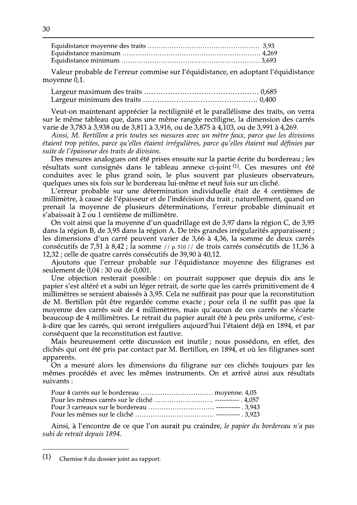Valeur probable de l'erreur commise sur l'équidistance, en adoptant l'équidistance moyenne  $0,1$ .

Veut-on maintenant apprécier la rectilignité et le parallélisme des traits, on verra sur le même tableau que, dans une même rangée rectiligne, la dimension des carrés varie de 3,783 à 3,938 ou de 3,811 à 3,916, ou de 3,875 à 4,103, ou de 3,991 à 4,269.

Ainsi, M. Bertillon a pris toutes ses mesures avec un mètre faux, parce que les divisions étaient trop petites, parce qu'elles étaient irrégulières, parce qu'elles étaient mal définies par suite de l'épaisseur des traits de division.

Des mesures analogues ont été prises ensuite sur la partie écrite du bordereau ; les résultats sont consignés dans le tableau annexe ci-joint<sup>(1)</sup>. Ces mesures ont été conduites avec le plus grand soin, le plus souvent par plusieurs observateurs, quelques unes six fois sur le bordereau lui-même et neuf fois sur un cliché.

L'erreur probable sur une détermination individuelle était de 4 centièmes de millimètre, à cause de l'épaisseur et de l'indécision du trait ; naturellement, quand on prenait la moyenne de plusieurs déterminations, l'erreur probable diminuait et s'abaissait à 2 ou 1 centième de millimètre.

On voit ainsi que la moyenne d'un quadrillage est de 3,97 dans la région C, de 3,95 dans la région B, de 3,95 dans la région A. De très grandes irrégularités apparaissent ; les dimensions d'un carré peuvent varier de 3,66 à 4,36, la somme de deux carrés consécutifs de 7,51 à 8,42 ; la somme // p. 510 // de trois carrés consécutifs de 11,36 à 12,32 ; celle de quatre carrés consécutifs de 39,90 à 40,12.

Ajoutons que l'erreur probable sur l'équidistance moyenne des filigranes est seulement de 0,04 : 30 ou de 0,001.

Une objection resterait possible : on pourrait supposer que depuis dix ans le papier s'est altéré et a subi un léger retrait, de sorte que les carrés primitivement de 4 millimètres se seraient abaissés à 3,95. Cela ne suffirait pas pour que la reconstitution de M. Bertillon pût être regardée comme exacte ; pour cela il ne suffit pas que la moyenne des carrés soit de 4 millimètres, mais qu'aucun de ces carrés ne s'écarte beaucoup de 4 millimètres. Le retrait du papier aurait été à peu près uniforme, c'està-dire que les carrés, qui seront irréguliers aujourd'hui l'étaient déjà en 1894, et par conséquent que la reconstitution est fautive.

Mais heureusement cette discussion est inutile; nous possédons, en effet, des clichés qui ont été pris par contact par M. Bertillon, en 1894, et où les filigranes sont apparents.

On a mesuré alors les dimensions du filigrane sur ces clichés toujours par les mêmes procédés et avec les mêmes instruments. On et arrivé ainsi aux résultats suivants:

Ainsi, à l'encontre de ce que l'on aurait pu craindre, le papier du bordereau n'a pas subi de retrait depuis 1894.

 $(1)$ Chemise 8 du dossier joint au rapport.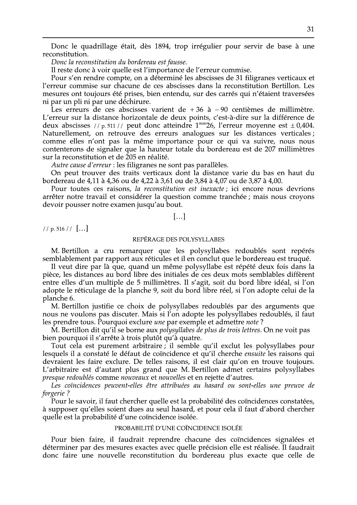Donc le quadrillage était, dès 1894, trop irrégulier pour servir de base à une reconstitution.

Donc la reconstitution du bordereau est fausse.

Il reste donc à voir quelle est l'importance de l'erreur commise.

Pour s'en rendre compte, on a déterminé les abscisses de 31 filigranes verticaux et l'erreur commise sur chacune de ces abscisses dans la reconstitution Bertillon. Les mesures ont toujours été prises, bien entendu, sur des carrés qui n'étaient traversées ni par un pli ni par une déchirure.

Les erreurs de ces abscisses varient de  $+36$  à  $-90$  centièmes de millimètre. L'erreur sur la distance horizontale de deux points, c'est-à-dire sur la différence de deux abscisses // p. 511 // peut donc atteindre  $1^{mm}26$ , l'erreur moyenne est  $\pm 0.404$ . Naturellement, on retrouve des erreurs analogues sur les distances verticales; comme elles n'ont pas la même importance pour ce qui va suivre, nous nous contenterons de signaler que la hauteur totale du bordereau est de 207 millimètres sur la reconstitution et de 205 en réalité.

Autre cause d'erreur : les filigranes ne sont pas parallèles.

On peut trouver des traits verticaux dont la distance varie du bas en haut du bordereau de 4,11 à 4,36 ou de 4,22 à 3,61 ou de 3,84 à 4,07 ou de 3,87 à 4,00.

Pour toutes ces raisons, la reconstitution est inexacte; ici encore nous devrions arrêter notre travail et considérer la question comme tranchée ; mais nous croyons devoir pousser notre examen jusqu'au bout.

 $\left[\ldots\right]$ 

// p. 516 //  $[\ldots]$ 

### REPÉRAGE DES POLYSYLLABES

M. Bertillon a cru remarquer que les polysyllabes redoublés sont repérés semblablement par rapport aux réticules et il en conclut que le bordereau est truqué.

Il veut dire par là que, quand un même polysyllabe est répété deux fois dans la pièce, les distances au bord libre des initiales de ces deux mots semblables diffèrent entre elles d'un multiple de 5 millimètres. Il s'agit, soit du bord libre idéal, si l'on adopte le réticulage de la planche 9, soit du bord libre réel, si l'on adopte celui de la planche 6.

M. Bertillon justifie ce choix de polysyllabes redoublés par des arguments que nous ne voulons pas discuter. Mais si l'on adopte les polysyllabes redoublés, il faut les prendre tous. Pourquoi exclure *une* par exemple et admettre *note*?

M. Bertillon dit qu'il se borne aux polysyllabes de plus de trois lettres. On ne voit pas bien pourquoi il s'arrête à trois plutôt qu'à quatre.

Tout cela est purement arbitraire; il semble qu'il exclut les polysyllabes pour lesquels il a constaté le défaut de coïncidence et qu'il cherche ensuite les raisons qui devraient les faire exclure. De telles raisons, il est clair qu'on en trouve toujours. L'arbitraire est d'autant plus grand que M. Bertillon admet certains polysyllabes presque redoublés comme nouveaux et nouvelles et en rejette d'autres.

Les coïncidences peuvent-elles être attribuées au hasard ou sont-elles une preuve de forgerie?

Pour le savoir, il faut chercher quelle est la probabilité des coïncidences constatées, à supposer qu'elles soient dues au seul hasard, et pour cela il faut d'abord chercher quelle est la probabilité d'une coïncidence isolée.

### PROBABILITÉ D'UNE COÏNCIDENCE ISOLÉE

Pour bien faire, il faudrait reprendre chacune des coïncidences signalées et déterminer par des mesures exactes avec quelle précision elle est réalisée. Il faudrait donc faire une nouvelle reconstitution du bordereau plus exacte que celle de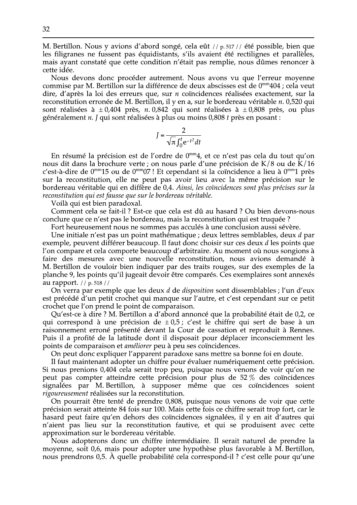M. Bertillon. Nous y avions d'abord songé, cela eût // p. 517 // été possible, bien que les filigranes ne fussent pas équidistants, s'ils avaient été rectilignes et parallèles, mais ayant constaté que cette condition n'était pas remplie, nous dûmes renoncer à cette idée.

Nous devons donc procéder autrement. Nous avons vu que l'erreur moyenne commise par M. Bertillon sur la différence de deux abscisses est de 0<sup>mm</sup>404 ; cela veut dire, d'après la loi des erreurs que, sur *n* coïncidences réalisées exactement, sur la reconstitution erronée de M. Bertillon, il y en a, sur le bordereau véritable n. 0,520 qui sont réalisées à  $\pm 0.404$  près, n. 0.842 qui sont réalisées à  $\pm 0.808$  près, ou plus généralement n. J qui sont réalisées à plus ou moins 0,808 t près en posant :

$$
J = \frac{2}{\sqrt{\pi} \int_0^t e^{-t^2} dt}
$$

En résumé la précision est de l'ordre de 0<sup>mm</sup>4, et ce n'est pas cela du tout qu'on nous dit dans la brochure verte ; on nous parle d'une précision de K/8 ou de K/16 c'est-à-dire de  $0^{mm}$ 15 ou de  $0^{mm}$ 07! Et cependant si la coïncidence a lieu à  $0^{mm}$ 1 près sur la reconstitution, elle ne peut pas avoir lieu avec la même précision sur le bordereau véritable qui en diffère de 0,4. Ainsi, les coincidences sont plus précises sur la reconstitution qui est fausse que sur le bordereau véritable.

Voilà qui est bien paradoxal.

Comment cela se fait-il? Est-ce que cela est dû au hasard? Ou bien devons-nous conclure que ce n'est pas le bordereau, mais la reconstitution qui est truquée ?

Fort heureusement nous ne sommes pas acculés à une conclusion aussi sévère.

Une initiale n'est pas un point mathématique ; deux lettres semblables, deux *d* par exemple, peuvent différer beaucoup. Il faut donc choisir sur ces deux *d* les points que l'on compare et cela comporte beaucoup d'arbitraire. Au moment où nous songions à faire des mesures avec une nouvelle reconstitution, nous avions demandé à M. Bertillon de vouloir bien indiquer par des traits rouges, sur des exemples de la planche 9, les points qu'il jugeait devoir être comparés. Ces exemplaires sont annexés au rapport. // p. 518 //

On verra par exemple que les deux *d* de *disposition* sont dissemblables ; l'un d'eux est précédé d'un petit crochet qui manque sur l'autre, et c'est cependant sur ce petit crochet que l'on prend le point de comparaison.

Qu'est-ce à dire ? M. Bertillon a d'abord annoncé que la probabilité était de 0,2, ce qui correspond à une précision de  $\pm 0.5$ ; c'est le chiffre qui sert de base à un raisonnement erroné présenté devant la Cour de cassation et reproduit à Rennes. Puis il a profité de la latitude dont il disposait pour déplacer inconsciemment les points de comparaison et *améliorer* peu à peu ses coïncidences.

On peut donc expliquer l'apparent paradoxe sans mettre sa bonne foi en doute.

Il faut maintenant adopter un chiffre pour évaluer numériquement cette précision. Si nous prenions 0,404 cela serait trop peu, puisque nous venons de voir qu'on ne peut pas compter atteindre cette précision pour plus de 52 % des coïncidences signalées par M. Bertillon, à supposer même que ces coïncidences soient *rigoureusement* réalisées sur la reconstitution.

On pourrait être tenté de prendre 0,808, puisque nous venons de voir que cette précision serait atteinte 84 fois sur 100. Mais cette fois ce chiffre serait trop fort, car le hasard peut faire qu'en dehors des coïncidences signalées, il y en ait d'autres qui n'aient pas lieu sur la reconstitution fautive, et qui se produisent avec cette approximation sur le bordereau véritable.

Nous adopterons donc un chiffre intermédiaire. Il serait naturel de prendre la moyenne, soit 0,6, mais pour adopter une hypothèse plus favorable à M. Bertillon, nous prendrons 0,5. À quelle probabilité cela correspond-il? c'est celle pour qu'une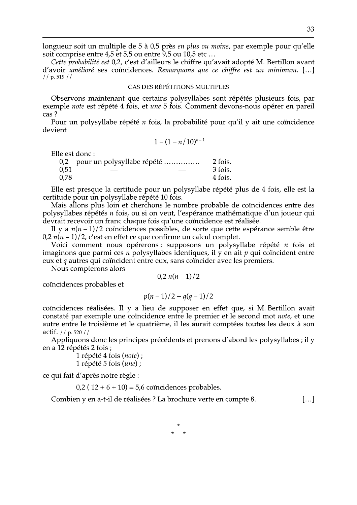longueur soit un multiple de 5 à 0.5 près *en plus ou moins*, par exemple pour qu'elle soit comprise

lleurs le chiffre qu'avait adopté M. Bertillon avant  $d'$ avoir <sup>'</sup>amélioré ses coïncidences. Remarauons que ce chiffre est un minimum. [...]  $1/$  p. 519  $1/$ 

### CAS DES RÉPÉTITIONS MULTIPLES

Mongueur soit un multiple de 5 à 0,5 près *en plus ou moinsoit comprise entre 4,5 et 5,5 ou entre 9,5 ou 10,5 etc...*<br>
Cette probabilité est 0,2, c'est d'ailleurs le chiffre qu'ava<br>
d'avoir *amélioré* ses coïncidences. *R* Observons maintenant que certains polysyllabes sont répétés plusieurs fois, par exemple *note* est répété 4 fois, et *une* 5 fois. Comment devons-nous opérer en pareil cas?

Pour un polysyllabe répété *n* fois, la probabilité pour qu'il y ait une coïncidence devient

$$
1-(1-n/10)^{n-1}
$$

Elle est donc :

|      | 0,2 pour un polysyllabe répété | 2 fois. |
|------|--------------------------------|---------|
| 0.51 |                                | 3 fois. |
| 0.78 |                                | 4 fois. |

Elle est presque la certitude pour un polysyllabe répété plus de 4 fois, elle est la  $\frac{1}{2}$  certitude pour un polysyllabe répété 10 fois.

Mais allons plus loin et cherchons le nombre probable de coïncidences entre des polysyllabes répétés *n* fois, ou si on veut. l'espérance mathématique d'un ioueur qui devrait recevoir un franc chaque fois qu'une coïncidence est réalisée.

Il y a  $n(n-1)/2$  coïncidences possibles, de sorte que cette espérance semble être  $(0.2 n(n-1)/2)$  c'est en effet ce que confirme un calcul complet.

Voici comment nous opérerons : supposons un polysyllabe répété *n* fois et imaginons que parmi ces n polysyllabes identiques, il y en ait p qui coïncident entre eux et *a* autres qui coïncident entre eux, sans coïncider avec les premiers.

Nous compterons alors

$$
0, 2 n(n-1)/2
$$

coïncidences probables et

$$
p(n-1)/2+q(q-1)/2
$$

coïncidences réalisées. Il y a lieu de supposer en effet que, si M. Bertillon avait constaté par exemple une coïncidence entre le premier et le second mot *note*, et une autre entre le troisième et le quatrième, il les aurait comptées toutes les deux à son actif. // p. 520 //

Appliquons donc les principes précédents et prenons d'abord les polysyllabes : il y en a 12 répétés 2 fois :

 $\frac{1}{1}$  répété 4 fois (note) : 1 répété 5 fois  $(une)$ :

ce qui fait d'après notre règle :

 $0.2$  ( $12 + 6 + 10$ ) = 5.6 corncidences probables.

Combien y en a-t-il de réalisées ? La brochure verte en compte 8.  $\lbrack ... \rbrack$ 

 $\star$  $\star$   $\star$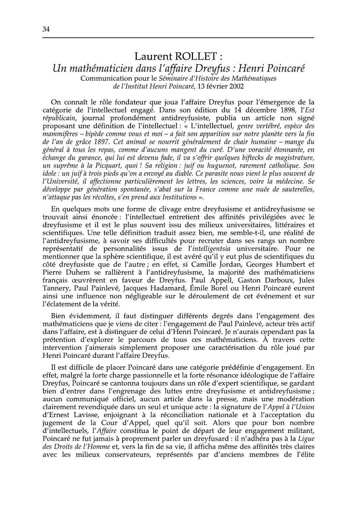# Laurent ROLLET:

### Un mathématicien dans l'affaire Dreyfus : Henri Poincaré Communication pour le Séminaire d'Histoire des Mathématiques de l'Institut Henri Poincaré, 13 février 2002

On connaît le rôle fondateur que joua l'affaire Drevfus pour l'émergence de la catégorie de l'intellectuel engagé. Dans son édition du 14 décembre 1898, l'Est républicain, journal profondément antidreyfusiste, publia un article non signé proposant une définition de l'intellectuel : « L'intellectuel, genre vertébré, espèce des mammifères – bipède comme vous et moi – a fait son apparition sur notre planète vers la fin de l'an de grâce 1897. Cet animal se nourrit généralement de chair humaine – mange du général à tous les repas, comme d'aucuns mangent du curé. D'une voracité étonnante, en échange du garance, qui lui est devenu fade, il va s'offrir quelques biftecks de magistrature, un suprême à la Picquart, quoi ! Sa religion : juif ou huguenot, rarement catholique. Son idole : un juif à trois pieds qu'on a envoyé au diable. Ce parasite nous vient le plus souvent de l'Université, il affectionne particulièrement les lettres, les sciences, voire la médecine. Se développe par génération spontanée, s'abat sur la France comme une nuée de sauterelles, n'attaque pas les récoltes, s'en prend aux Institutions ».

En quelques mots une forme de clivage entre dreyfusisme et antidreyfusisme se trouvait ainsi énoncée : l'intellectuel entretient des affinités privilégiées avec le dreyfusisme et il est le plus souvent issu des milieux universitaires, littéraires et scientifiques. Une telle définition traduit assez bien, me semble-t-il, une réalité de l'antidreyfusisme, à savoir ses difficultés pour recruter dans ses rangs un nombre représentatif de personnalités issus de l'intelligentsia universitaire. Pour ne mentionner que la sphère scientifique, il est avéré qu'il y eut plus de scientifiques du côté dreyfusiste que de l'autre ; en effet, si Camille Jordan, Georges Humbert et Pierre Duhem se rallièrent à l'antidrevfusisme, la majorité des mathématiciens français œuvrèrent en faveur de Dreyfus. Paul Appell, Gaston Darboux, Jules Tannery, Paul Painlevé, Jacques Hadamard, Émile Borel ou Henri Poincaré eurent ainsi une influence non négligeable sur le déroulement de cet événement et sur l'éclatement de la vérité.

Bien évidemment, il faut distinguer différents degrés dans l'engagement des mathématiciens que je viens de citer : l'engagement de Paul Painlevé, acteur très actif dans l'affaire, est à distinguer de celui d'Henri Poincaré. Je n'aurais cependant pas la prétention d'explorer le parcours de tous ces mathématiciens. À travers cette intervention j'aimerais simplement proposer une caractérisation du rôle joué par Henri Poincaré durant l'affaire Dreyfus.

Il est difficile de placer Poincaré dans une catégorie prédéfinie d'engagement. En effet, malgré la forte charge passionnelle et la forte résonance idéologique de l'affaire Dreyfus, Poincaré se cantonna toujours dans un rôle d'expert scientifique, se gardant bien d'entrer dans l'engrenage des luttes entre dreyfusisme et antidreyfusisme; aucun communiqué officiel, aucun article dans la presse, mais une modération clairement revendiquée dans un seul et unique acte : la signature de l'Appel à l'Union d'Ernest Lavisse, enjoignant à la réconciliation nationale et à l'acceptation du jugement de la Cour d'Appel, quel qu'il soit. Alors que pour bon nombre d'intellectuels, l'Affaire constitua le point de départ de leur engagement militant, Poincaré ne fut jamais à proprement parler un dreyfusard : il n'adhéra pas à la Ligue des Droits de l'Homme et, vers la fin de sa vie, il afficha même des affinités très claires avec les milieux conservateurs, représentés par d'anciens membres de l'élite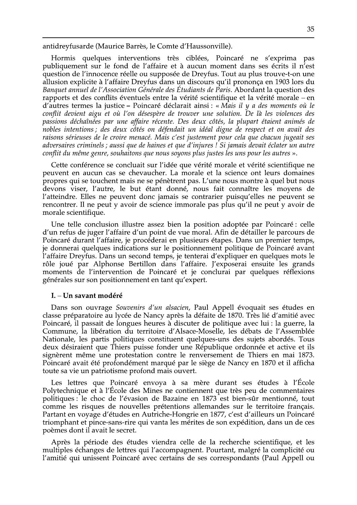antidreyfusarde (Maurice Barrès, le Comte d'Haussonville).

Hormis quelques interventions très ciblées, Poincaré ne s'exprima pas publiquement sur le fond de l'affaire et à aucun moment dans ses écrits il n'est question de l'innocence réelle ou supposée de Dreyfus. Tout au plus trouve-t-on une allusion explicite à l'affaire Dreyfus dans un discours qu'il prononça en 1903 lors du Banquet annuel de l'Association Générale des Étudiants de Paris. Abordant la question des rapports et des conflits éventuels entre la vérité scientifique et la vérité morale – en d'autres termes la justice – Poincaré déclarait ainsi : « Mais il y a des moments où le conflit devient aigu et où l'on désespère de trouver une solution. De là les violences des passions déchaînées par une affaire récente. Des deux côtés, la plupart étaient animés de nobles intentions ; des deux côtés on défendait un idéal digne de respect et on avait des raisons sérieuses de le croire menacé. Mais c'est justement pour cela que chacun jugeait ses adversaires criminels ; aussi que de haines et que d'injures ! Si jamais devait éclater un autre conflit du même genre, souhaitons que nous soyons plus justes les uns pour les autres ».

Cette conférence se concluait sur l'idée que vérité morale et vérité scientifique ne peuvent en aucun cas se chevaucher. La morale et la science ont leurs domaines propres qui se touchent mais ne se pénètrent pas. L'une nous montre à quel but nous devons viser, l'autre, le but étant donné, nous fait connaître les moyens de l'atteindre. Elles ne peuvent donc jamais se contrarier puisqu'elles ne peuvent se rencontrer. Il ne peut y avoir de science immorale pas plus qu'il ne peut y avoir de morale scientifique.

Une telle conclusion illustre assez bien la position adoptée par Poincaré : celle d'un refus de juger l'affaire d'un point de vue moral. Afin de détailler le parcours de Poincaré durant l'affaire, je procéderai en plusieurs étapes. Dans un premier temps, je donnerai quelques indications sur le positionnement politique de Poincaré avant l'affaire Dreyfus. Dans un second temps, je tenterai d'expliquer en quelques mots le rôle joué par Alphonse Bertillon dans l'affaire. J'exposerai ensuite les grands moments de l'intervention de Poincaré et je conclurai par quelques réflexions générales sur son positionnement en tant qu'expert.

### I. – Un savant modéré

Dans son ouvrage *Souvenirs d'un alsacien*, Paul Appell évoquait ses études en classe préparatoire au lycée de Nancy après la défaite de 1870. Très lié d'amitié avec Poincaré, il passait de longues heures à discuter de politique avec lui : la guerre, la Commune, la libération du territoire d'Alsace-Moselle, les débats de l'Assemblée Nationale, les partis politiques constituent quelques-uns des sujets abordés. Tous deux désiraient que Thiers puisse fonder une République ordonnée et active et ils signèrent même une protestation contre le renversement de Thiers en mai 1873. Poincaré avait été profondément marqué par le siège de Nancy en 1870 et il afficha toute sa vie un patriotisme profond mais ouvert.

Les lettres que Poincaré envoya à sa mère durant ses études à l'École Polytechnique et à l'École des Mines ne contiennent que très peu de commentaires politiques : le choc de l'évasion de Bazaine en 1873 est bien-sûr mentionné, tout comme les risques de nouvelles prétentions allemandes sur le territoire français. Partant en voyage d'études en Autriche-Hongrie en 1877, c'est d'ailleurs un Poincaré triomphant et pince-sans-rire qui vanta les mérites de son expédition, dans un de ces poèmes dont il avait le secret.

Après la période des études viendra celle de la recherche scientifique, et les multiples échanges de lettres qui l'accompagnent. Pourtant, malgré la complicité ou l'amitié qui unissent Poincaré avec certains de ses correspondants (Paul Appell ou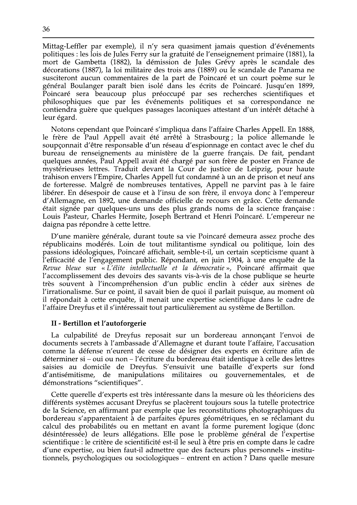Mittag-Leffler par exemple), il n'y sera quasiment jamais question d'événements politiques : les lois de Jules Ferry sur la gratuité de l'enseignement primaire (1881), la mort de Gambetta (1882), la démission de Jules Grévy après le scandale des décorations (1887), la loi militaire des trois ans (1889) ou le scandale de Panama ne susciteront aucun commentaires de la part de Poincaré et un court poème sur le général Boulanger paraît bien isolé dans les écrits de Poincaré. Jusqu'en 1899, Poincaré sera beaucoup plus préoccupé par ses recherches scientifiques et<br>philosophiques que par les événements politiques et sa correspondance ne contiendra guère que quelques passages laconiques attestant d'un intérêt détaché à leur égard.

Notons cependant que Poincaré s'impliqua dans l'affaire Charles Appell. En 1888, le frère de Paul Appell avait été arrêté à Strasbourg ; la police allemande le soupçonnait d'être responsable d'un réseau d'espionnage en contact avec le chef du bureau de renseignements au ministère de la guerre français. De fait, pendant quelques années, Paul Appell avait été chargé par son frère de poster en France de mystérieuses lettres. Traduit devant la Cour de justice de Leipzig, pour haute trahison envers l'Empire, Charles Appell fut condamné à un an de prison et neuf ans de forteresse. Malgré de nombreuses tentatives, Appell ne parvint pas à le faire libérer. En désespoir de cause et à l'insu de son frère, il envoya donc à l'empereur d'Allemagne, en 1892, une demande officielle de recours en grâce. Cette demande était signée par quelques-uns uns des plus grands noms de la science française : Louis Pasteur, Charles Hermite, Joseph Bertrand et Henri Poincaré. L'empereur ne daigna pas répondre à cette lettre.

D'une manière générale, durant toute sa vie Poincaré demeura assez proche des républicains modérés. Loin de tout militantisme syndical ou politique, loin des passions idéologiques, Poincaré affichait, semble-t-il, un certain scepticisme quant à l'efficacité de l'engagement public. Répondant, en juin 1904, à une enquête de la Revue bleue sur « L'élite intellectuelle et la démocratie », Poincaré affirmait que l'accomplissement des devoirs des savants vis-à-vis de la chose publique se heurte très souvent à l'incompréhension d'un public enclin à céder aux sirènes de l'irrationalisme. Sur ce point, il savait bien de quoi il parlait puisque, au moment où il répondait à cette enquête, il menait une expertise scientifique dans le cadre de l'affaire Dreyfus et il s'intéressait tout particulièrement au système de Bertillon.

### II - Bertillon et l'autoforgerie

La culpabilité de Dreyfus reposait sur un bordereau annonçant l'envoi de documents secrets à l'ambassade d'Allemagne et durant toute l'affaire, l'accusation comme la défense n'eurent de cesse de désigner des experts en écriture afin de déterminer si – oui ou non – l'écriture du bordereau était identique à celle des lettres saisies au domicile de Dreyfus. S'ensuivit une bataille d'experts sur fond d'antisémitisme, de manipulations militaires ou gouvernementales, et de démonstrations "scientifiques".

Cette querelle d'experts est très intéressante dans la mesure où les théoriciens des différents systèmes accusant Dreyfus se placèrent toujours sous la tutelle protectrice de la Science, en affirmant par exemple que les reconstitutions photographiques du bordereau s'apparentaient à de parfaites épures géométriques, en se réclamant du calcul des probabilités ou en mettant en avant la forme purement logique (donc désintéressée) de leurs allégations. Elle pose le problème général de l'expertise scientifique : le critère de scientificité est-il le seul à être pris en compte dans le cadre d'une expertise, ou bien faut-il admettre que des facteurs plus personnels – institutionnels, psychologiques ou sociologiques – entrent en action? Dans quelle mesure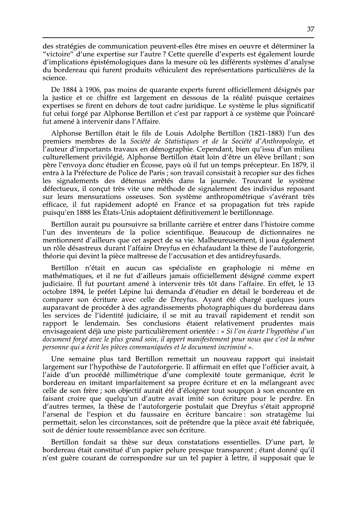des stratégies de communication peuvent-elles être mises en oeuvre et déterminer la "victoire" d'une expertise sur l'autre ? Cette querelle d'experts est également lourde d'implications épistémologiques dans la mesure où les différents systèmes d'analyse du bordereau qui furent produits véhiculent des représentations particulières de la science.

De 1884 à 1906, pas moins de quarante experts furent officiellement désignés par la justice et ce chiffre est largement en dessous de la réalité puisque certaines expertises se firent en dehors de tout cadre juridique. Le système le plus significatif fut celui forgé par Alphonse Bertillon et c'est par rapport à ce système que Poincaré fut amené à intervenir dans l'Affaire.

Alphonse Bertillon était le fils de Louis Adolphe Bertillon (1821-1883) l'un des premiers membres de la Société de Statistiques et de la Société d'Anthropologie, et l'auteur d'importants travaux en démographie. Cependant, bien qu'issu d'un milieu culturellement privilégié, Alphonse Bertillon était loin d'être un élève brillant ; son père l'envoya donc étudier en Écosse, pays où il fut un temps précepteur. En 1879, il entra à la Préfecture de Police de Paris ; son travail consistait à recopier sur des fiches les signalements des détenus arrêtés dans la journée. Trouvant le système défectueux, il conçut très vite une méthode de signalement des individus reposant sur leurs mensurations osseuses. Son système anthropométrique s'avérant très efficace, il fut rapidement adopté en France et sa propagation fut très rapide puisqu'en 1888 les États-Unis adoptaient définitivement le bertillonnage.

Bertillon aurait pu poursuivre sa brillante carrière et entrer dans l'histoire comme l'un des inventeurs de la police scientifique. Beaucoup de dictionnaires ne mentionnent d'ailleurs que cet aspect de sa vie. Malheureusement, il joua également un rôle désastreux durant l'affaire Dreyfus en échafaudant la thèse de l'autoforgerie, théorie qui devint la pièce maîtresse de l'accusation et des antidreyfusards.

Bertillon n'était en aucun cas spécialiste en graphologie ni même en mathématiques, et il ne fut d'ailleurs jamais officiellement désigné comme expert judiciaire. Il fut pourtant amené à intervenir très tôt dans l'affaire. En effet, le 13 octobre 1894, le préfet Lépine lui demanda d'étudier en détail le bordereau et de comparer son écriture avec celle de Dreyfus. Ayant été chargé quelques jours auparavant de procéder à des agrandissements photographiques du bordereau dans les services de l'identité judiciaire, il se mit au travail rapidement et rendit son rapport le lendemain. Ses conclusions étaient relativement prudentes mais envisageaient déjà une piste particulièrement orientée : « Si l'on écarte l'hypothèse d'un document forgé avec le plus grand soin, il appert manifestement pour nous que c'est la même personne qui a écrit les pièces communiquées et le document incriminé ».

Une semaine plus tard Bertillon remettait un nouveau rapport qui insistait largement sur l'hypothèse de l'autoforgerie. Il affirmait en effet que l'officier avait, à l'aide d'un procédé millimétrique d'une complexité toute germanique, écrit le bordereau en imitant imparfaitement sa propre écriture et en la mélangeant avec celle de son frère ; son objectif aurait été d'éloigner tout soupçon à son encontre en faisant croire que quelqu'un d'autre avait imité son écriture pour le perdre. En d'autres termes, la thèse de l'autoforgerie postulait que Dreyfus s'était approprié l'arsenal de l'espion et du faussaire en écriture bancaire : son stratagème lui permettait, selon les circonstances, soit de prétendre que la pièce avait été fabriquée, soit de dénier toute ressemblance avec son écriture.

Bertillon fondait sa thèse sur deux constatations essentielles. D'une part, le bordereau était constitué d'un papier pelure presque transparent ; étant donné qu'il n'est guère courant de correspondre sur un tel papier à lettre, il supposait que le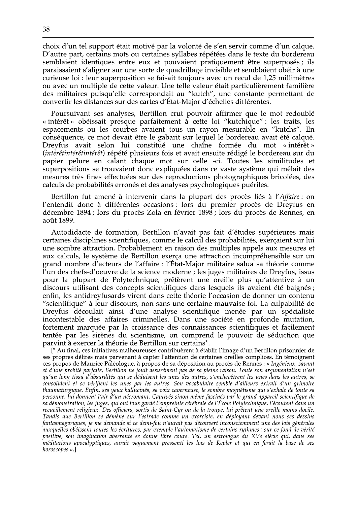choix d'un tel support était motive par la volonte de s'en servir comme d'un calque.<br>Pr  $D$  autre part, certains mots ou certaines syllabes repètées dans le texte du bordereau  $\overline{D}$ semblaient identiques entre eux et pouvaient pratiquement etre superposes ; ils paraissaient s'aligner sur une sorte de quadrillage invisible et semblaient obeir à une curieuse Ioi : Ieur superposition se faisait toujours avec un recul de 1,25 millimetres ou avec un multiple de cette valeur. Une telle valeur était particulièrement familière support était motivé par la volonté de s'en sertains mots ou certaines syllabes répétées dantiques entre eux et pouvaient pratiquem<br>aligner sur une sorte de quadrillage invisible eur superposition se faisait toujours avec des militaires puisqu'elle correspondait au "kutch", une constante permettant de convertir les distances sur des cartes d'Etat-Major d'echelles differentes.

<u>- Andrea Andrea Andrea Andrea Andrea Andrea Andrea Andrea Andrea Andrea Andrea Andrea Andrea Andrea Andrea An</u>

-

-Poursuivant ses analyses, Bertillon crut pouvoir affirmer que le mot redouble « interet » obeissait presque partaitement à cette loi "kutchique" : les traits, les espacements ou les courbes avaient tous un rayon mesurable en "kutchs". En consequence, ce mot devait être le gabarit sur lequel le bordereau avait été calque.<br>— Dreyfus avait selon lui constitue une chaîne formee du mot «interêt» (interetinteretinteret) répèté plusieurs fois et avait ensuite rédigé le bordereau sur du papier pelure en calant chaque mot sur celle -ci. Toutes les similitudes et superpositions se trouvaient donc expliquees dans ce vaste systeme qui melait des mesures tres fines effectuees sur des reproductions photographiques bricolees, des calculs de probabilités erronés et des analyses psychologiques puériles.

-Bertillon fut amene à intervenir dans la plupart des proces lies à l'*Affaire* : on l'entendit donc à différentes occasions : lors du premier procés de Dreyfus en decembre 1894 ; lors du proces Zola en fevrier 1898 ; lors du proces de Rennes, en aout 1899.

Autodidacte de formation, Bertillon n'avait pas fait d'études superieures mais certaines disciplines scientifiques, comme le calcul des probabilites, exerçaient sur lui une sombre attraction. Probablement en raison des multiples appels aux mesures et aux calculs, le système de Bertillon exerça une attraction incompréhensible sur un grand nombre d'acteurs de l'affaire : l'État-Major militaire salua sa théorie comme<br>. l'un des chefs-d'oeuvre de la science moderne ; les juges militaires de Dreyfus, issus pour la plupart de l'olytechnique, preterent une oreille plus qu'attentive a un discours utilisant des concepts scientifiques dans lesquels ils avaient ete baignes ; entin, les antidreyfusards virent dans cette théorie l'occasion de donner un contenu "scientifique" à leur discours, non sans une certaine mauvaise foi. La culpabilité de Dreyfus decoulait ainsi d'une analyse scientifique menee par un specialiste incontestable des affaires criminelles. Dans une societe en profonde mutation, fortement marquee par la croissance des connaissances scientifiques et facilement tentée par les sirènes du scientisme, on comprend le pouvoir de séduction que parvint a exercer la theorie de Bertillon sur certains".

 $\lfloor$  " Au final, ces initiatives malheureuses contribuerent a etablir l'image d'un Bertillon prisonnier de ses propres delires mais parvenant à capter l'attention de certaines oreilles complices. En temoignent ces propos de Maurice Paleologue, a propos de sa deposition au proces de Rennes : « I*ngenieux, savant* et d'une probité parfaite, Bertillon ne jouit assurément pas de sa pleine raison. Toute son argumentation n'est qu'un long tissu d'absurdités qui se déduisent les unes des autres, s'enchevêtrent les unes dans les autres, se consolident et se vérifient les unes par les autres. Son vocabulaire semble d'ailleurs extrait d'un grimoire thaumaturgique. Enfin, ses yeux hallucinés, sa voix caverneuse, le sombre magnétisme qui s'exhale de toute sa personne, lui donnent l'air d'un nécromant. Captivés sinon même fascinés par le grand appareil scientifique de sa démonstration, les juges, qui ont tous gardé l'empreinte cérébrale de l'École Polytechnique, l'écoutent dans un recueillement religieux. Des officiers, sortis de Saint-Cyr ou de la troupe, lui prêtent une oreille moins docile. Tandis que Bertillon se démène sur l'estrade comme un exorciste, en déployant devant nous ses dessins fantasmagoriques, je me demande si ce demi-fou n'aurait pas découvert inconsciemment une des lois générales <sup>7</sup>auxquelles obéissent toutes les écritures, par exemple l'automatisme de certains rythmes : sur ce fond de vérité positive, son imagination aberrante se donne libre cours. Tel, un astrologue du XVe siècle qui, dans ses  $\overline{C}$ <sup>2</sup> méditations apocalyptiques, aurait vaguement pressenti les lois de Kepler et qui en ferait la base de ses noroscopes ».]

-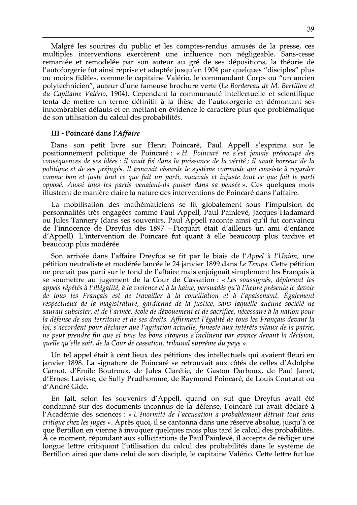Malgre les sourires du public et les comptes-rendus amuses de la presse, ces multiples interventions exercerent une influence non negligeable. Sans-cesse remaniée et remodèlee par son auteur au gre de ses dépositions, la théorie de l'autoforgerie fut ainsi reprise et adaptee jusqu'en 1904 par quelques "disciples" plus ou moins fideles, comme le capitaine Valerio, le commandant Corps ou "un ancien 39<br>
urires du public et les comptes-rendus amusés de la presse, ces<br>
ventions exercèrent une influence non négligeable. Sans-cesse<br>
oodelée par son auteur au gré de ses dépositions, la théorie de<br> *i* ainsi reprise et adap ( 

 %    )\*+,-./+.+012/+2342,+.5677-82+52 *du Capitaine Valerio,* 1904). Cependant la communauté intellectuelle et scientifique algré les sourires du public et les comptes-rendus amusés de la p<br>ples interventions exercèrent une influence non négligeable. S<br>uie et renodelée par son auteur au gré de ses dépositions, la th<br>forgerie fut ainsi reprise e tenta de mettre un terme definitif à la thèse de l'autoforgèrie en demontant ses innombrables defauts et en mettant en evidence le caractère plus que problematique<br>. de son utilisation du calcul des probabilites.

### III - Poincaré dans l'Affaire

Dans son petit livre sur Henri Poincare, Paul Appell s'exprima sur le positionnement politique de Poincaré : « H. Poincare ne s'est jamais preoccupe des  $\cos$ 2 conséquences de ses idées : il avait foi dans la puissance de la vérité ; il avait horreur de la politique et de ses préjugés. Il trouvait absurde le système commode qui consiste à regarder<br>comme bon et juste tout ce que fait un parti, mauvais et injuste tout ce que fait le parti de son utilisation du calcul des probabilités.<br>
III - Poincaré dans l'Affaire<br>
Dans son petit livre sur Henri Poincaré, Paul Appell s'exprima sur le<br>
positionnement politique de Poincaré : « H. Poincaré ne s'est jamais pré quelques mots illustrent de manière claire la nature des interventions de l'oincare dans l'affaire.<br>-

La mobilisation des mathématiciens se fit globalement sous l'impulsion de personnalites tres engagees comme Paul Appell, Paul Painleve, Jacques Hadamard ou Jules Tannery (dans ses souvenirs, Paul Appell raconte ainsi qu'il fut convaincu de l'innocence de Dreyfus des 1897 – Picquart etait d'ailleurs un ami d'enfance d'Appell). L'intervention de l'oincaré fut quant à elle beaucoup plus tardive et<br>. beaucoup plus modérée.

Son arrivee dans l'affaire Dreyfus se fit par le biais de l'Appel a l'Union, une petition neutraliste et moderee lancée le 24 janvier 1899 dans l La mobilisation des mathématiciens se fit globalement sous l'impulsion de<br>
Les mobilisation des mathématiciens se fit globalement sous l'impulsion de<br>
personnalités très engagées comme Paul Appell, Paul Painlevé, Jacques parti sur le fond de l'affaire mais enjoignait simplement les Français a se soumettre au jugement de la Cour de Cassation : « Les soussignes, deplorant les ionnalités très engagées comme Paul Appell, Paul Painlevé, J<br>
ules Tannery (dans ses souvenirs, Paul Appell raconte ainsi c<br>
l'innocence de Dreyfus dès 1897 – Picquart était d'ailleurs<br>
popell). L'intervention de Poincaré appels répétés à l'illégalité, à la violence et à la haine, persuadés qu'à l'heure présente le devoir de tous les Français est de travailler à la conciliation et à l'apaisement. Egalement respectueux de la magistrature, gardienne de la justice, sans laquelle aucune société ne saurait subsister, et de l'armée, école de dévouement et de sacrifice, nécessaire à la nation pour la défense de son territoire et de ses droits. Affirmant l'égalité de tous les Français devant la loi, s'accordent pour déclarer que l'agitation actuelle, funeste aux intérêts vitaux de la patrie, ne peut prendre fin que si tous les bons citoyens s'inclinent par avance devant la décision, quelle qu'elle soit, de la Cour de cassation, tribunal suprême du pays ».

Un tel appel était à cent lieux des pétitions des intellectuels qui avaient fleuri en janvier 1898. La signature de l'oincare se retrouvait aux cotes de celles ( Carnot, d'Émile Boutroux, de Jules Clarétie, de Gaston Darboux, de Paul Janet, d'Ernest Lavisse, de Sully Prudhomme, de Raymond Poincare, de Louis (

respectiveux de la magistrature, gardienne de la justice, sans laquelle aucune société ne<br>
saurait subsister, et de l'armée, école de dévouement et de sacrifice, récessaire à la nation pour<br>
la défense de son territoire et a magistrature, gardienne de la justice, sans l<br>et de l'armée, école de dévouement et de sacrifice,<br>territoire et de ses droits. Affirmant l'égalité de i<br>our déclarer que l'agitation actuelle, funeste aux i<br>fin que si tou saurait subsister, et de l'armée, école de dévouement et de sacrifice, nécessaire à la nation pour<br>la défense de son territoire et de ses droits. Affirmant l'égalité de tous les Français devant la<br>loi, s'accordent pour déc En fait, selon les souvenirs d'Appell, quand on sut que Dreyfus avait eté condamne sur des documents inconnus de la défense, l'oincare lui avait déclare à<br>Vienne des documents inconnus de la défense, l'oincare lui avait déclare à l'Acadèmie des sciences : « L'*enormite de l'accusation a probablement detruit tout sens critique chez les juges* ». Apres quoi, il se cantonna dans une reserve absolue, jusq *critique chez les juges* ». Apres quoi, il se cantonna dans une reserve absolue, jusqu'a ce<br>que Bertillon en vienne à invoquer quelques mois plus tard le calcul des probabilités. A ce moment, repondant aux sollicitations de Paul Painleve, il accepta de rediger une<br>. longue lettre critiquant l'utilisation du calcul des probabilités dans le système de Bertillon ainsi que dans celui de son disci pell, quand on sut que Dreyfus avait été<br>s de la défense, Poincaré lui avait déclaré à<br>le l'accusation a probablement détruit tout sens<br>antonna dans une réserve absolue, jusqu'à ce<br>ques mois plus tard le calcul des probabi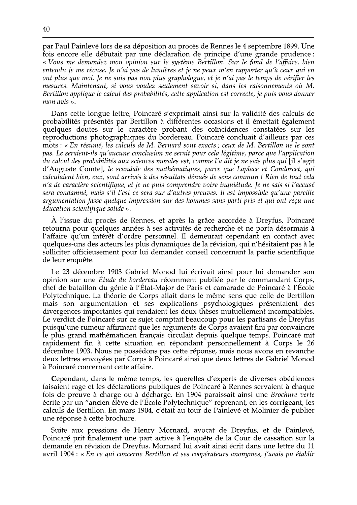par Paul Painlevé lors de sa déposition au procès de Rennes le 4 septembre 1899. Une fois encore elle débutait par une déclaration de principe d'une grande prudence : « Vous me demandez mon opinion sur le système Bertillon. Sur le fond de l'affaire, bien entendu je me récuse. Je n'ai pas de lumières et je ne peux m'en rapporter qu'à ceux qui en ont plus que moi. Je ne suis pas non plus graphologue, et je n'ai pas le temps de vérifier les mesures. Maintenant, si vous voulez seulement savoir si, dans les raisonnements où M. Bertillon applique le calcul des probabilités, cette application est correcte, je puis vous donner mon avis ».

Dans cette longue lettre, Poincaré s'exprimait ainsi sur la validité des calculs de probabilités présentés par Bertillon à différentes occasions et il émettait également quelques doutes sur le caractère probant des coïncidences constatées sur les reproductions photographiques du bordereau. Poincaré concluait d'ailleurs par ces mots : « En résumé, les calculs de M. Bernard sont exacts ; ceux de M. Bertillon ne le sont pas. Le seraient-ils qu'aucune conclusion ne serait pour cela légitime, parce que l'application du calcul des probabilités aux sciences morales est, comme l'a dit je ne sais plus qui [il s'agit d'Auguste Comte], le scandale des mathématiques, parce que Laplace et Condorcet, qui calculaient bien, eux, sont arrivés à des résultats dénués de sens commun ! Rien de tout cela n'a de caractère scientifique, et je ne puis comprendre votre inquiétude. Je ne sais si l'accusé sera condamné, mais s'il l'est ce sera sur d'autres preuves. Il est impossible qu'une pareille argumentation fasse quelque impression sur des hommes sans parti pris et qui ont reçu une *éducation scientifique solide ».* 

À l'issue du procès de Rennes, et après la grâce accordée à Dreyfus, Poincaré retourna pour quelques années à ses activités de recherche et ne porta désormais à l'affaire qu'un intérêt d'ordre personnel. Il demeurait cependant en contact avec quelques-uns des acteurs les plus dynamiques de la révision, qui n'hésitaient pas à le solliciter officieusement pour lui demander conseil concernant la partie scientifique de leur enquête.

Le 23 décembre 1903 Gabriel Monod lui écrivait ainsi pour lui demander son opinion sur une Étude du bordereau récemment publiée par le commandant Corps, chef de bataillon du génie à l'État-Major de Paris et camarade de Poincaré à l'École Polytechnique. La théorie de Corps allait dans le même sens que celle de Bertillon mais son argumentation et ses explications psychologiques présentaient des divergences importantes qui rendaient les deux thèses mutuellement incompatibles. Le verdict de Poincaré sur ce sujet comptait beaucoup pour les partisans de Dreyfus puisqu'une rumeur affirmant que les arguments de Corps avaient fini par convaincre le plus grand mathématicien français circulait depuis quelque temps. Poincaré mit rapidement fin à cette situation en répondant personnellement à Corps le 26 décembre 1903. Nous ne possédons pas cette réponse, mais nous avons en revanche deux lettres envoyées par Corps à Poincaré ainsi que deux lettres de Gabriel Monod à Poincaré concernant cette affaire.

Cependant, dans le même temps, les querelles d'experts de diverses obédiences faisaient rage et les déclarations publiques de Poincaré à Rennes servaient à chaque fois de preuve à charge ou à décharge. En 1904 paraissait ainsi une Brochure verte écrite par un "ancien élève de l'École Polytechnique" reprenant, en les corrigeant, les calculs de Bertillon. En mars 1904, c'était au tour de Painlevé et Molinier de publier une réponse à cette brochure.

Suite aux pressions de Henry Mornard, avocat de Dreyfus, et de Painlevé, Poincaré prit finalement une part active à l'enquête de la Cour de cassation sur la demande en révision de Dreyfus. Mornard lui avait ainsi écrit dans une lettre du 11 avril 1904 : « En ce qui concerne Bertillon et ses coopérateurs anonymes, j'avais pu établir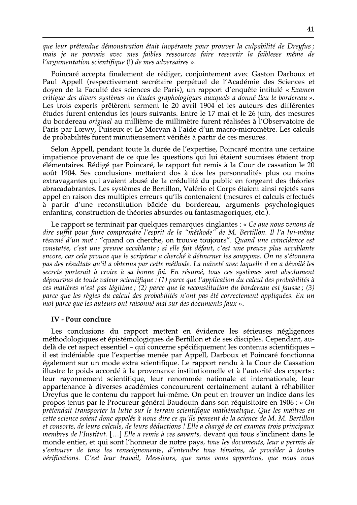que leur prétendue démonstration était inopérante pour prouver la culpabilité de Dreyfus; mais je ne pouvais avec mes faibles ressources faire ressortir la faiblesse même de *l'argumentation scientifique*  $\left( \cdot \right)$  *de mes adversaires* ».

Poincaré accepta finalement de rédiger, conjointement avec Gaston Darboux et Paul Appell (respectivement secrétaire perpétuel de l'Académie des Sciences et doyen de la Faculté des sciences de Paris), un rapport d'enquête intitulé « Examen critique des divers systèmes ou études graphologiques auxquels a donné lieu le bordereau». Les trois experts prêtèrent serment le 20 avril 1904 et les auteurs des différentes études furent entendus les jours suivants. Entre le 17 mai et le 26 juin, des mesures du bordereau *original* au millième de millimètre furent réalisées à l'Observatoire de Paris par Lœwy, Puiseux et Le Morvan à l'aide d'un macro-micromètre. Les calculs de probabilités furent minutieus ement vérifiés à partir de ces mesures.

Selon Appell, pendant toute la durée de l'expertise, Poincaré montra une certaine impatience provenant de ce que les questions qui lui étaient soumises étaient trop élémentaires. Rédigé par Poincaré, le rapport fut remis à la Cour de cassation le 20 août 1904. Ses conclusions mettaient dos à dos les personnalités plus ou moins extravagantes qui avaient abusé de la crédulité du public en forgeant des théories abracadabrantes. Les systèmes de Bertillon, Valério et Corps étaient ainsi rejetés sans appel en raison des multiples erreurs qu'ils contenaient (mesures et calculs effectués à partir d'une reconstitution bâclée du bordereau, arguments psychologiques enfantins, construction de théories absurdes ou fantasmagoriques, etc.).

Le rapport se terminait par quelques remarques cinglantes : « Ce que nous venons de dire suffit pour faire comprendre l'esprit de la "méthode" de M. Bertillon. Il l'a lui-même résumé d'un mot : "quand on cherche, on trouve toujours". Quand une coïncidence est constatée, c'est une preuve accablante ; si elle fait défaut, c'est une preuve plus accablante encore, car cela prouve que le scripteur a cherché à détourner les soupçons. On ne s'étonnera pas des résultats qu'il a obtenus par cette méthode. La naïveté avec laquelle il en a dévoilé les secrets porterait à croire à sa bonne foi. En résumé, tous ces systèmes sont absolument dépourvus de toute valeur scientifique : (1) parce que l'application du calcul des probabilités à ces matières n'est pas légitime ; (2) parce que la reconstitution du bordereau est fausse ; (3) parce que les règles du calcul des probabilités n'ont pas été correctement appliquées. En un mot parce que les auteurs ont raisonné mal sur des documents faux ».

### **IV** - Pour conclure

Les conclusions du rapport mettent en évidence les sérieuses négligences méthodologiques et épistémologiques de Bertillon et de ses disciples. Cependant, audelà de cet aspect essentiel – qui concerne spécifiquement les contenus scientifiques – il est indéniable que l'expertise menée par Appell, Darboux et Poincaré fonctionna également sur un mode extra scientifique. Le rapport rendu à la Cour de Cassation illustre le poids accordé à la provenance institutionnelle et à l'autorité des experts : leur rayonnement scientifique, leur renommée nationale et internationale, leur appartenance à diverses académies concoururent certainement autant à réhabiliter Dreyfus que le contenu du rapport lui-même. On peut en trouver un indice dans les propos tenus par le Procureur général Baudouin dans son réquisitoire en 1906 : « On prétendait transporter la lutte sur le terrain scientifique mathématique. Que les maîtres en cette science soient donc appelés à nous dire ce qu'ils pensent de la science de M. M. Bertillon et consorts, de leurs calculs, de leurs déductions ! Elle a chargé de cet examen trois principaux membres de l'Institut. [...] Elle a remis à ces savants, devant qui tous s'inclinent dans le monde entier, et qui sont l'honneur de notre pays, tous les documents, leur a permis de s'entourer de tous les renseignements, d'entendre tous témoins, de procéder à toutes vérifications. C'est leur travail, Messieurs, que nous vous apportons, que nous vous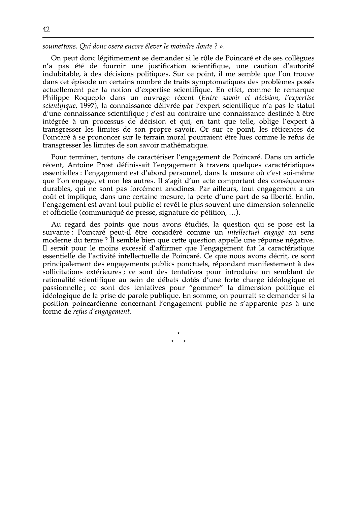soumettons. Qui donc osera encore élever le moindre doute ? ».

On peut donc légitimement se demander si le rôle de Poincaré et de ses collègues n'a pas été de fournir une justification scientifique, une caution d'autorité indubitable, à des décisions politiques. Sur ce point, il me semble que l'on trouve dans cet épisode un certains nombre de traits symptomatiques des problèmes posés actuellement par la notion d'expertise scientifique. En effet, comme le remarque Philippe Roqueplo dans un ouvrage récent (Entre savoir et décision, l'expertise scientifique, 1997), la connaissance délivrée par l'expert scientifique n'a pas le statut d'une connaissance scientifique ; c'est au contraire une connaissance destinée à être intégrée à un processus de décision et qui, en tant que telle, oblige l'expert à transgresser les limites de son propre savoir. Or sur ce point, les réticences de Poincaré à se prononcer sur le terrain moral pourraient être lues comme le refus de transgresser les limites de son savoir mathématique.

Pour terminer, tentons de caractériser l'engagement de Poincaré. Dans un article récent, Antoine Prost définissait l'engagement à travers quelques caractéristiques essentielles : l'engagement est d'abord personnel, dans la mesure où c'est soi-même que l'on engage, et non les autres. Il s'agit d'un acte comportant des conséquences durables, qui ne sont pas forcément anodines. Par ailleurs, tout engagement a un coût et implique, dans une certaine mesure, la perte d'une part de sa liberté. Enfin, l'engagement est avant tout public et revêt le plus souvent une dimension solennelle et officielle (communiqué de presse, signature de pétition, ...).

Au regard des points que nous avons étudiés, la question qui se pose est la suivante : Poincaré peut-il être considéré comme un intellectuel engagé au sens moderne du terme? Il semble bien que cette question appelle une réponse négative. Il serait pour le moins excessif d'affirmer que l'engagement fut la caractéristique essentielle de l'activité intellectuelle de Poincaré. Ce que nous avons décrit, ce sont principalement des engagements publics ponctuels, répondant manifestement à des sollicitations extérieures ; ce sont des tentatives pour introduire un semblant de rationalité scientifique au sein de débats dotés d'une forte charge idéologique et passionnelle; ce sont des tentatives pour "gommer" la dimension politique et idéologique de la prise de parole publique. En somme, on pourrait se demander si la position poincaréienne concernant l'engagement public ne s'apparente pas à une forme de refus d'engagement.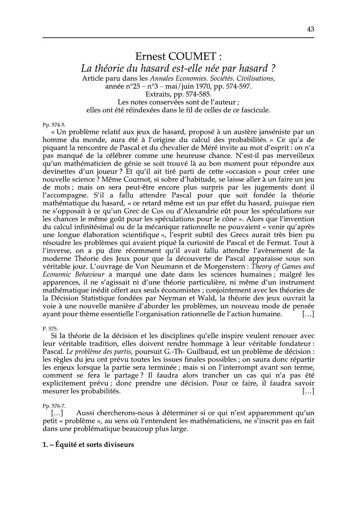## Ernest COUMET: La théorie du hasard est-elle née par hasard? Article paru dans les Annales Economies. Sociétés. Civilisations, année n°25 – n°3 – mai/juin 1970, pp. 574-597. Extraits, pp. 574-585. Les notes conservées sont de l'auteur :

elles ont été réindexées dans le fil de celles de ce fascicule.

Pp. 574-5.

« Un problème relatif aux jeux de hasard, proposé à un austère janséniste par un homme du monde, aura été à l'origine du calcul des probabilités. » Ce qu'a de piquant la rencontre de Pascal et du chevalier de Méré invite au mot d'esprit : on n'a pas manqué de la célébrer comme une heureuse chance. N'est-il pas merveilleux qu'un mathématicien de génie se soit trouvé là au bon moment pour répondre aux devinettes d'un joueur? Et qu'il ait tiré parti de cette »occasion » pour créer une nouvelle science? Même Cournot, si sobre d'habitude, se laisse aller à un faire un jeu de mots; mais on sera peut-être encore plus surpris par les jugements dont il l'accompagne. S'il a fallu attendre Pascal pour que soit fondée la théorie mathématique du hasard, « ce retard même est un pur effet du hasard, puisque rien ne s'opposait à ce qu'un Grec de Cos ou d'Alexandrie eût pour les spéculations sur les chances le même goût pour les spéculations pour le cône ». Alors que l'invention du calcul infinitésimal ou de la mécanique rationnelle ne pouvaient « venir qu'après une longue élaboration scientifique », l'esprit subtil des Grecs aurait très bien pu résoudre les problèmes qui avaient piqué la curiosité de Pascal et de Fermat. Tout à l'inverse, on a pu dire récemment qu'il avait fallu attendre l'avènement de la moderne Théorie des Jeux pour que la découverte de Pascal apparaisse sous son véritable jour. L'ouvrage de Von Neumann et de Morgenstern : Theory of Games and *Economic Behaviour* a marqué une date dans les sciences humaines; malgré les apparences, il ne s'agissait ni d'une théorie particulière, ni même d'un instrument mathématique inédit offert aux seuls économistes ; conjointement avec les théories de la Décision Statistique fondées par Neyman et Wald, la théorie des jeux ouvrait la voie à une nouvelle manière d'aborder les problèmes, un nouveau mode de pensée ayant pour thème essentielle l'organisation rationnelle de l'action humaine.  $\left| \ldots \right|$ 

P. 575.

Si la théorie de la décision et les disciplines qu'elle inspire veulent renouer avec leur véritable tradition, elles doivent rendre hommage à leur véritable fondateur : Pascal. Le problème des partis, poursuit G.-Th- Guilbaud, est un problème de décision : les règles du jeu ont prévu toutes les issues finales possibles ; on saura donc répartir les enjeux lorsque la partie sera terminée ; mais si on l'interrompt avant son terme, comment se fera le partage? Il faudra alors trancher un cas qui n'a pas été explicitement prévu ; donc prendre une décision. Pour ce faire, il faudra savoir mesurer les probabilités.  $[\ldots]$ 

Pp. 576-7.

 $\left[\ldots\right]$ Aussi chercherons-nous à déterminer si ce qui n'est apparemment qu'un petit « problème », au sens où l'entendent les mathématiciens, ne s'inscrit pas en fait dans une problématique beaucoup plus large.

### 1. – Équité et sorts diviseurs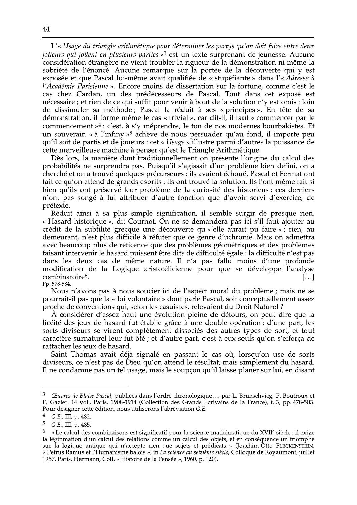L'« Usage du triangle arithmétique pour déterminer les partys qu'on doit faire entre deux joüeurs qui joüent en plusieurs parties »<sup>3</sup> est un texte surprenant de jeunesse. Aucune considération étrangère ne vient troubler la rigueur de la démonstration ni même la sobriété de l'énoncé. Aucune remarque sur la portée de la découverte qui y est exposée et que Pascal lui-même avait qualifiée de « stupéfiante » dans l'« Adresse à l'Académie Parisienne ». Encore moins de dissertation sur la fortune, comme c'est le cas chez Cardan, un des prédécesseurs de Pascal. Tout dans cet exposé est nécessaire ; et rien de ce qui suffit pour venir à bout de la solution n'y est omis : loin de dissimuler sa méthode ; Pascal la réduit à ses « principes ». En tête de sa démonstration, il forme même le cas « trivial », car dit-il, il faut « commencer par le commencement »<sup>4</sup> : c'est, à s'y méprendre, le ton de nos modernes bourbakistes. Et un souverain « à l'infiny »<sup>5</sup> achève de nous persuader qu'au fond, il importe peu qu'il soit de partis et de joueurs : cet « Usage » illustre parmi d'autres la puissance de cette merveilleuse machine à penser qu'est le Triangle Arithmétique.

Dès lors, la manière dont traditionnellement on présente l'origine du calcul des probabilités ne surprendra pas. Puisqu'il s'agissait d'un problème bien défini, on a cherché et on a trouvé quelques précurseurs : ils avaient échoué. Pascal et Fermat ont fait ce qu'on attend de grands esprits : ils ont trouvé la solution. Ils l'ont même fait si bien qu'ils ont préservé leur problème de la curiosité des historiens ; ces derniers n'ont pas songé à lui attribuer d'autre fonction que d'avoir servi d'exercice, de prétexte.

Réduit ainsi à sa plus simple signification, il semble surgir de presque rien. « Hasard historique », dit Cournot. On ne se demandera pas ici s'il faut ajouter au crédit de la subtilité grecque une découverte qu »'elle aurait pu faire » ; rien, au demeurant, n'est plus difficile à réfuter que ce genre d'uchronie. Mais on admettra avec beaucoup plus de réticence que des problèmes géométriques et des problèmes faisant intervenir le hasard puissent être dits de difficulté égale : la difficulté n'est pas dans les deux cas de même nature. Il n'a pas fallu moins d'une profonde modification de la Logique aristotélicienne pour que se développe l'analyse combinatoire<sup>6</sup>.  $\left[\ldots\right]$ 

Pp. 578-584.

Nous n'avons pas à nous soucier ici de l'aspect moral du problème ; mais ne se pourrait-il pas que la « loi volontaire » dont parle Pascal, soit conceptuellement assez proche de conventions qui, selon les casuistes, relevaient du Droit Naturel?

A considérer d'assez haut une évolution pleine de détours, on peut dire que la licéité des jeux de hasard fut établie grâce à une double opération : d'une part, les sorts diviseurs se virent complètement dissociés des autres types de sort, et tout caractère surnaturel leur fut ôté ; et d'autre part, c'est à eux seuls qu'on s'efforça de rattacher les jeux de hasard.

Saint Thomas avait déjà signalé en passant le cas où, lorsqu'on use de sorts diviseurs, ce n'est pas de Dieu qu'on attend le résultat, mais simplement du hasard. Il ne condamne pas un tel usage, mais le soupçon qu'il laisse planer sur lui, en disant

<sup>3</sup> Œuvres de Blaise Pascal, publiées dans l'ordre chronologique..., par L. Brunschvicg, P. Boutroux et F. Gazier. 14 vol., Paris, 1908-1914 (Collection des Grands Écrivains de la France), t. 3, pp. 478-503. Pour désigner cette édition, nous utiliserons l'abréviation G.E.

 $\overline{4}$ G.E., III, p. 482.

 $\mathbf 5$ G.E., III, p. 485.

<sup>6</sup> « Le calcul des combinaisons est significatif pour la science mathématique du XVII<sup>e</sup> siècle : il exige la légitimation d'un calcul des relations comme un calcul des objets, et en conséquence un triomphe sur la logique antique qui n'accepte rien que sujets et prédicats. » (Joachim-Otto FLECKENSTEIN, « Petrus Ramus et l'Humanisme balois », in La science au seizième siècle, Colloque de Royaumont, juillet 1957, Paris, Hermann, Coll. « Histoire de la Pensée », 1960, p. 120).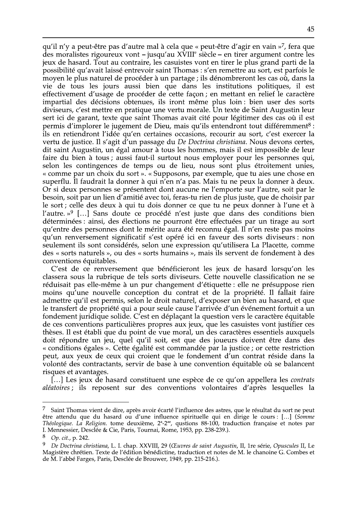qu'il n'y a peut-être pas d'autre mal à cela que « peut-être d'agir en vain »<sup>7</sup>, fera que des moralistes rigoureux vont – jusqu'au XVIII<sup>e</sup> siècle – en tirer argument contre les jeux de hasard. Tout au contraire, les casuistes vont en tirer le plus grand parti de la possibilité qu'avait laissé entrevoir saint Thomas : s'en remettre au sort, est parfois le moyen le plus naturel de procéder à un partage ; ils dénombreront les cas où, dans la vie de tous les jours aussi bien que dans les institutions politiques, il est effectivement d'usage de procéder de cette façon ; en mettant en relief le caractère impartial des décisions obtenues, ils iront même plus loin : bien user des sorts diviseurs, c'est mettre en pratique une vertu morale. Un texte de Saint Augustin leur sert ici de garant, texte que saint Thomas avait cité pour légitimer des cas où il est permis d'implorer le jugement de Dieu, mais qu'ils entendront tout différemment<sup>8</sup>: ils en retiendront l'idée qu'en certaines occasions, recourir au sort, c'est exercer la vertu de justice. Il s'agit d'un passage du *De Doctrina christiana*. Nous devons certes, dit saint Augustin, un égal amour à tous les hommes, mais il est impossible de leur faire du bien à tous; aussi faut-il surtout nous employer pour les personnes qui, selon les contingences de temps ou de lieu, nous sont plus étroitement unies, « comme par un choix du sort ». « Supposons, par exemple, que tu aies une chose en superflu. Il faudrait la donner à qui n'en n'a pas. Mais tu ne peux la donner à deux. Or si deux personnes se présentent dont aucune ne l'emporte sur l'autre, soit par le besoin, soit par un lien d'amitié avec toi, feras-tu rien de plus juste, que de choisir par le sort ; celle des deux à qui tu dois donner ce que tu ne peux donner à l'une et à l'autre. »<sup>9</sup> [...] Sans doute ce procédé n'est juste que dans des conditions bien déterminées : ainsi, des élections ne pourront être effectuées par un tirage au sort qu'entre des personnes dont le mérite aura été reconnu égal. Il n'en reste pas moins qu'un renversement significatif s'est opéré ici en faveur des sorts diviseurs : non seulement ils sont considérés, selon une expression qu'utilisera La Placette, comme des « sorts naturels », ou des « sorts humains », mais ils servent de fondement à des conventions équitables.

C'est de ce renversement que bénéficieront les jeux de hasard lorsqu'on les classera sous la rubrique de tels sorts diviseurs. Cette nouvelle classification ne se réduisait pas elle-même à un pur changement d'étiquette : elle ne présuppose rien moins qu'une nouvelle conception du contrat et de la propriété. Il fallait faire admettre qu'il est permis, selon le droit naturel, d'exposer un bien au hasard, et que le transfert de propriété qui a pour seule cause l'arrivée d'un événement fortuit a un fondement juridique solide. C'est en déplaçant la question vers le caractère équitable de ces conventions particulières propres aux jeux, que les casuistes vont justifier ces thèses. Il est établi que du point de vue moral, un des caractères essentiels auxquels doit répondre un jeu, quel qu'il soit, est que des joueurs doivent être dans des « conditions égales ». Cette égalité est commandée par la justice ; or cette restriction peut, aux yeux de ceux qui croient que le fondement d'un contrat réside dans la volonté des contractants, servir de base à une convention équitable où se balancent risques et avantages.

[...] Les jeux de hasard constituent une espèce de ce qu'on appellera les *contrats aléatoires*; ils reposent sur des conventions volontaires d'après lesquelles la

 $\overline{7}$ Saint Thomas vient de dire, après avoir écarté l'influence des astres, que le résultat du sort ne peut être attendu que du hasard ou d'une influence spirituelle qui en dirige le cours : [...] (Somme Théologique. La Religion. tome deuxième, 2<sup>ª</sup>-2<sup>ª</sup>, qustions 88-100, traduction française et notes par I. Mennessier, Desclée & Cie, Paris, Tournai, Rome, 1953, pp. 238-239.).

Op. cit., p. 242.

<sup>9</sup> De Doctrina christiana, L. I. chap. XXVIII, 29 (Œuvres de saint Augustin, II, 1re série, Opuscules II, Le Magistère chrétien. Texte de l'édition bénédictine, traduction et notes de M. le chanoine G. Combes et de M. l'abbé Farges, Paris, Desclée de Brouwer, 1949, pp. 215-216.).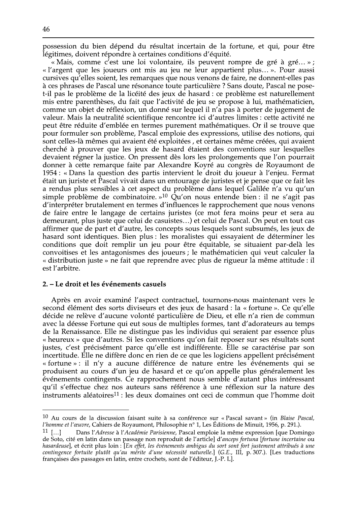possession du bien dépend du résultat incertain de la fortune, et qui, pour être légitimes, doivent répondre à certaines conditions d'équité.

« Mais, comme c'est une loi volontaire, ils peuvent rompre de gré à gré... »; « l'argent que les joueurs ont mis au jeu ne leur appartient plus... ». Pour aussi cursives qu'elles soient, les remarques que nous venons de faire, ne donnent-elles pas à ces phrases de Pascal une résonance toute particulière ? Sans doute, Pascal ne poset-il pas le problème de la licéité des jeux de hasard : ce problème est naturellement mis entre parenthèses, du fait que l'activité de jeu se propose à lui, mathématicien, comme un objet de réflexion, un donné sur lequel il n'a pas à porter de jugement de valeur. Mais la neutralité scientifique rencontre ici d'autres limites : cette activité ne peut être réduite d'emblée en termes purement mathématiques. Or il se trouve que pour formuler son problème, Pascal emploie des expressions, utilise des notions, qui sont celles-là mêmes qui avaient été exploitées, et certaines même créées, qui avaient cherché à prouver que les jeux de hasard étaient des conventions sur lesquelles devaient régner la justice. On pressent dès lors les prolongements que l'on pourrait donner à cette remarque faite par Alexandre Koyré au congrès de Royaumont de 1954 : « Dans la question des partis intervient le droit du joueur à l'enjeu. Fermat était un juriste et Pascal vivait dans un entourage de juristes et je pense que ce fait les a rendus plus sensibles à cet aspect du problème dans lequel Galilée n'a vu qu'un simple problème de combinatoire. »<sup>10</sup> Qu'on nous entende bien : il ne s'agit pas d'interpréter brutalement en termes d'influences le rapprochement que nous venons de faire entre le langage de certains juristes (ce mot fera moins peur et sera au demeurant, plus juste que celui de casuistes...) et celui de Pascal. On peut en tout cas affirmer que de part et d'autre, les concepts sous lesquels sont subsumés, les jeux de hasard sont identiques. Bien plus : les moralistes qui essayaient de déterminer les conditions que doit remplir un jeu pour être équitable, se situaient par-delà les convoitises et les antagonismes des joueurs ; le mathématicien qui veut calculer la « distribution juste » ne fait que reprendre avec plus de rigueur la même attitude : il est l'arbitre.

### 2. – Le droit et les événements casuels

Après en avoir examiné l'aspect contractuel, tournons-nous maintenant vers le second élément des sorts diviseurs et des jeux de hasard : la « fortune ». Ce qu'elle décide ne relève d'aucune volonté particulière de Dieu, et elle n'a rien de commun avec la déesse Fortune qui eut sous de multiples formes, tant d'adorateurs au temps de la Renaissance. Elle ne distingue pas les individus qui seraient par essence plus « heureux » que d'autres. Si les conventions qu'on fait reposer sur ses résultats sont justes, c'est précisément parce qu'elle est indifférente. Elle se caractérise par son incertitude. Elle ne diffère donc en rien de ce que les logiciens appellent précisément « fortune » : il n'y a aucune différence de nature entre les événements qui se produisent au cours d'un jeu de hasard et ce qu'on appelle plus généralement les événements contingents. Ce rapprochement nous semble d'autant plus intéressant qu'il s'effectue chez nos auteurs sans référence à une réflexion sur la nature des instruments aléatoires<sup>11</sup> : les deux domaines ont ceci de commun que l'homme doit

<sup>10</sup> Au cours de la discussion faisant suite à sa conférence sur « Pascal savant » (in Blaise Pascal, l'homme et l'œuvre, Cahiers de Royaumont, Philosophie n° 1, Les Éditions de Minuit, 1956, p. 291.).

 $11$  [...] Dans l'Adresse à l'Académie Parisienne, Pascal emploie la même expression [que Domingo de Soto, cité en latin dans un passage non reproduit de l'article] d'anceps fortuna [fortune incertaine ou hasardeuse], et écrit plus loin : [En effet, les événements ambigus du sort sont fort justement attribués à une contingence fortuite plutôt qu'au mérite d'une nécessité naturelle.] (G.E., III, p. 307.). [Les traductions françaises des passages en latin, entre crochets, sont de l'éditeur, J.-P. L].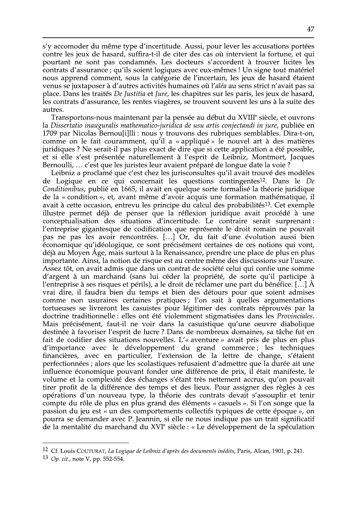s'y accomoder du même type d'incertitude. Aussi, pour lever les accusations portées contre les jeux de hasard, suffira-t-il de citer des cas où intervient la fortune, et qui pourtant ne sont pas condamnés. Les docteurs s'accordent à trouver licites les contrats d'assurance ; qu'ils soient logiques avec eux-mêmes ! Un signe tout matériel nous apprend comment, sous la catégorie de l'incertain, les jeux de hasard étaient venus se juxtaposer à d'autres activités humaines où l'aléa au sens strict n'avait pas sa place. Dans les traités De Justitia et Jure, les chapitres sur les paris, les jeux de hasard, les contrats d'assurance, les rentes viagères, se trouvent souvent les uns à la suite des autres.

Transportons-nous maintenant par la pensée au début du XVIII<sup>e</sup> siècle, et ouvrons la Dissertatio inauguralis mathematico-juridica de usu artis conjectandi in jure, publiée en 1709 par Nicolas Bernou|i|lli : nous y trouvons des rubriques semblables. Dira-t-on, comme on le fait couramment, qu'il a « appliqué » le nouvel art à des matières juridiques? Ne serait-il pas plus exact de dire que si cette application a été possible, et si elle s'est présentée naturellement à l'esprit de Leibniz, Montmort, Jacques Bernoulli, ... c'est que les juristes leur avaient préparé de longue date la voie ?

Leibniz a proclamé que c'est chez les jurisconsultes qu'il avait trouvé des modèles de Logique en ce qui concernait les questions contingentes<sup>12</sup>. Dans le De Conditionibus, publié en 1665, il avait en quelque sorte formalisé la théorie juridique de la « condition », et, avant même d'avoir acquis une formation mathématique, il avait à cette occasion, entrevu les principe du calcul des probabilités<sup>13</sup>. Cet exemple illustre permet déjà de penser que la réflexion juridique avait procédé à une conceptualisation des situations d'incertitude. Le contraire serait surprenant : l'entreprise gigantesque de codification que représente le droit romain ne pouvait pas ne pas les avoir rencontrées. [...] Or, du fait d'une évolution aussi bien économique qu'idéologique, ce sont précisément certaines de ces notions qui vont, déjà au Moyen Âge, mais surtout à la Renaissance, prendre une place de plus en plus importante. Ainsi, la notion de risque est au centre même des discussions sur l'usure. Assez tôt, on avait admis que dans un contrat de société celui qui confie une somme d'argent à un marchand (sans lui céder la propriété, de sorte qu'il participe à l'entreprise à ses risques et périls), a le droit de réclamer une part du bénéfice. [...] A vrai dire, il faudra bien du temps et bien des détours pour que soient admises comme non usuraires certaines pratiques; l'on sait à quelles argumentations tortueuses se livreront les casuistes pour légitimer des contrats réprouvés par la doctrine traditionnelle : elles ont été violemment stigmatisées dans les *Provinciales*. Mais précisément, faut-il ne voir dans la casuistique qu'une oeuvre diabolique destinée à favoriser l'esprit de lucre? Dans de nombreux domaines, sa tâche fut en fait de codifier des situations nouvelles. L'« aventure » avait pris de plus en plus d'importance avec le développement du grand commerce; les techniques financières, avec en particulier, l'extension de la lettre de change, s'étaient perfectionnées ; alors que les scolastiques refusaient d'admettre que la durée ait une influence économique pouvant fonder une différence de prix, il était manifeste, le volume et la complexité des échanges s'étant très nettement accrus, qu'on pouvait tirer profit de la différence des temps et des lieux. Pour assigner des règles à ces opérations d'un nouveau type, la théorie des contrats devait s'assouplir et tenir compte du rôle de plus en plus grand des éléments « casuels ». Si l'on songe que la passion du jeu est « un des comportements collectifs typiques de cette époque », on pourra se demander avec P. Jeannin, si elle ne nous indique pas un trait significatif de la mentalité du marchand du XVI<sup>e</sup> siècle : « Le développement de la spéculation

<sup>&</sup>lt;sup>12</sup> Cf. Louis COUTURAT, La Logique de Leibniz d'après des documents inédits, Paris, Alcan, 1901, p. 241.

<sup>&</sup>lt;sup>13</sup> *Op. cit., note V, pp.* 552-554.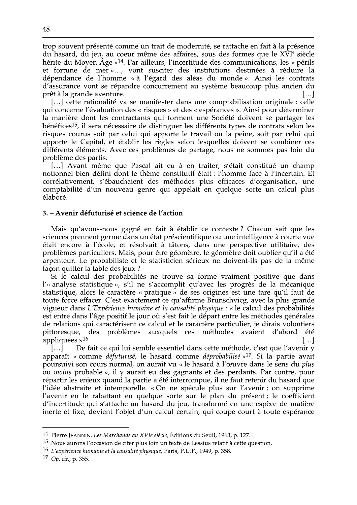trop souvent présenté comme un trait de modernité, se rattache en fait à la présence du hasard, du jeu, au coeur même des affaires, sous des formes que le XVI<sup>e</sup> siècle hérite du Moyen Âge »<sup>14</sup>. Par ailleurs, l'incertitude des communications, les « périls et fortune de mer»..., vont susciter des institutions destinées à réduire la dépendance de l'homme « à l'égard des aléas du monde ». Ainsi les contrats d'assurance vont se répandre concurrement au système beaucoup plus ancien du prêt à la grande aventure.  $\left[\ldots\right]$ 

[...] cette rationalité va se manifester dans une comptabilisation originale : celle qui concerne l'évaluation des « risques » et des « espérances ». Ainsi pour déterminer la manière dont les contractants qui forment une Société doivent se partager les bénéfices<sup>15</sup>, il sera nécessaire de distinguer les différents types de contrats selon les risques courus soit par celui qui apporte le travail ou la peine, soit par celui qui apporte le Capital, et établir les règles selon lesquelles doivent se combiner ces différents éléments. Avec ces problèmes de partage, nous ne sommes pas loin du problème des partis.

[...] Avant même que Pascal ait eu à en traiter, s'était constitué un champ notionnel bien défini dont le thème constitutif était : l'homme face à l'incertain. Et corrélativement, s'ébauchaient des méthodes plus efficaces d'organisation, une comptabilité d'un nouveau genre qui appelait en quelque sorte un calcul plus élaboré.

### 3. – Avenir défuturisé et science de l'action

Mais qu'avons-nous gagné en fait à établir ce contexte? Chacun sait que les sciences prennent germe dans un état préscientifique ou une intelligence à courte vue était encore à l'école, et résolvait à tâtons, dans une perspective utilitaire, des problèmes particuliers. Mais, pour être géomètre, le géomètre doit oublier qu'il a été arpenteur. Le probabiliste et le statisticien sérieux ne doivent-ils pas de la même façon quitter la table des jeux ?

Si le calcul des probabilités ne trouve sa forme vraiment positive que dans l'« analyse statistique », s'il ne s'accomplit qu'avec les progrès de la mécanique statistique, alors le caractère « pratique » de ses origines est une tare qu'il faut de toute force effacer. C'est exactement ce qu'affirme Brunschvicg, avec la plus grande vigueur dans L'Expérience humaine et la causalité physique : « le calcul des probabilités est entré dans l'âge positif le jour où s'est fait le départ entre les méthodes générales de relations qui caractérisent ce calcul et le caractère particulier, je dirais volontiers pittoresque, des problèmes auxquels ces méthodes avaient d'abord été appliquées  $\frac{16}{6}$ .  $\left[ \ldots \right]$ 

 $\left[\ldots\right]$ De fait ce qui lui semble essentiel dans cette méthode, c'est que l'avenir y apparaît « comme *défuturisé*, le hasard comme *déprobabilisé* »<sup>17</sup>. Si la partie avait poursuivi son cours normal, on aurait vu « le hasard à l'œuvre dans le sens du *plus* ou *moins* probable», il y aurait eu des gagnants et des perdants. Par contre, pour répartir les enjeux quand la partie a été interrompue, il ne faut retenir du hasard que l'idée abstraite et intemporelle. « On ne spécule plus sur l'avenir ; on supprime l'avenir en le rabattant en quelque sorte sur le plan du présent; le coefficient d'incertitude qui s'attache au hasard du jeu, transformé en une espèce de matière inerte et fixe, devient l'objet d'un calcul certain, qui coupe court à toute espérance

<sup>&</sup>lt;sup>14</sup> Pierre JEANNIN, Les Marchands au XVIe siècle, Éditions du Seuil, 1963, p. 127.

<sup>&</sup>lt;sup>15</sup> Nous aurons l'occasion de citer plus loin un texte de Lessius relatif à cette question.

<sup>&</sup>lt;sup>16</sup> L'expérience humaine et la causalité physique, Paris, P.U.F., 1949, p. 358.

<sup>&</sup>lt;sup>17</sup> Op. cit., p. 355.